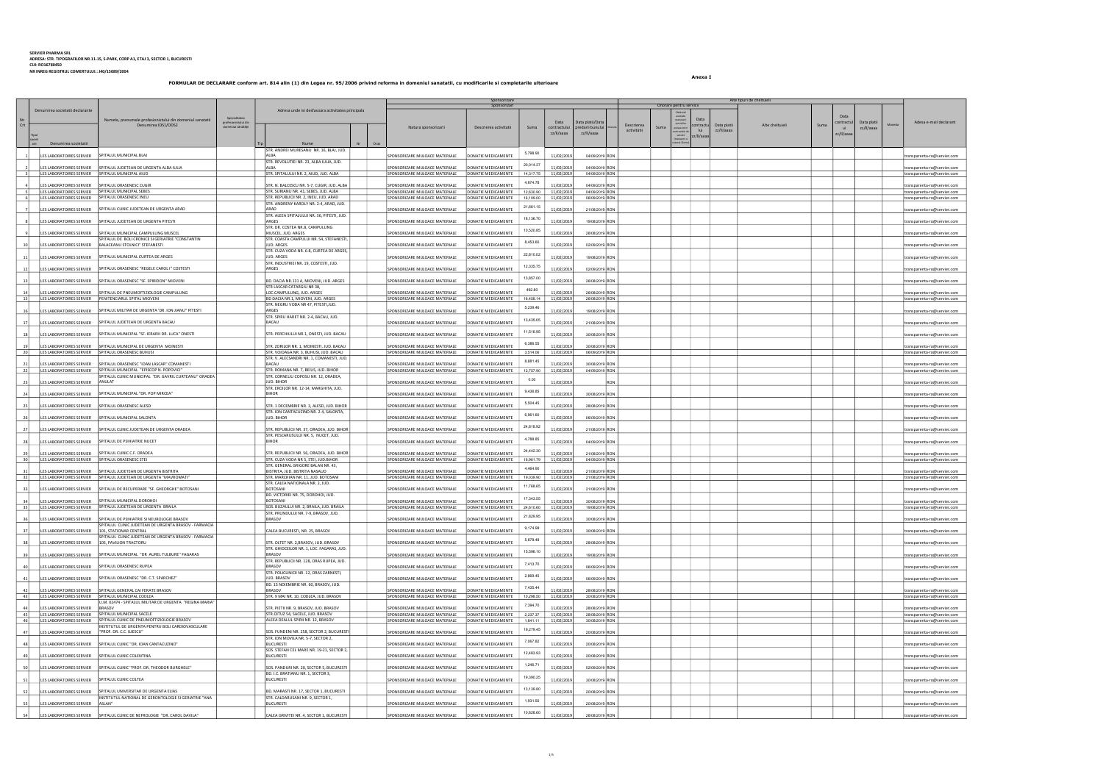Anexa I

|            |                                                    |                                                                                                                                                 |                                                                                    |                                                                    | Sponsorizare<br>Sponsorizari                      |                        |                           |                                    |                           | Onorarii pentru servicii                                                |                           | Alte tipuri de cheltuieli |      |                                             |                                                            |
|------------|----------------------------------------------------|-------------------------------------------------------------------------------------------------------------------------------------------------|------------------------------------------------------------------------------------|--------------------------------------------------------------------|---------------------------------------------------|------------------------|---------------------------|------------------------------------|---------------------------|-------------------------------------------------------------------------|---------------------------|---------------------------|------|---------------------------------------------|------------------------------------------------------------|
|            | Denumirea societatii declarante                    | Specialitatea<br>Numele, prenumele profesionistului din domeniul sanatatii<br>profesionistului dir<br>Denumirea IDS1/ODS2<br>domeniul sănătătii | Adresa unde isi desfasoara activitatea principala                                  | Natura sponsorizarii                                               | Descrierea activitatii                            | Suma                   | Data<br>contractuli       | ata platii/Data<br>predarii bunulu | Descrierea<br>activitatii | Data<br>executar<br>serviciilo<br>ontract<br>Suma<br>lui<br>ntractele o | Data platii<br>zz/II/aaaa | Alte cheltuieli           | Suma | ontractu<br>Data platii<br>ui<br>zz/II/aaaa | Adesa e-mail declarant                                     |
|            | atii<br>Denumirea societatii                       |                                                                                                                                                 | Oras<br>Nume                                                                       |                                                                    |                                                   |                        | zz/II/aaaa                | zz/II/aaaa                         |                           | servicii<br>z/II/aaa                                                    |                           |                           |      | zz/II/aaaa                                  |                                                            |
|            | LES LABORATOIRES SERVIER   SPITALUL MUNICIPAL BLAJ |                                                                                                                                                 | STR. ANDREI MURESANU NR. 16, BLAJ, JUD.<br>AI BA                                   | SPONSORIZARE MIJLOACE MATERIALE                                    | DONATIE MEDICAMENTE                               | 5,798.90               | 11/02/2019                | 04/09/2019 RON                     |                           |                                                                         |                           |                           |      |                                             | transparenta-ro@servier.com                                |
|            |                                                    | LES LABORATOIRES SERVIER   SPITALUL JUDETEAN DE URGENTA ALBA IULIA                                                                              | STR. REVOLUTIEI NR. 23, ALBA IULIA, JUD.<br>AI BA                                  | SPONSORIZARE MIJLOACE MATERIALE                                    | DONATIE MEDICAMENTE                               | 20,014.37              | 11/02/2019                | 04/09/2019 RON                     |                           |                                                                         |                           |                           |      |                                             | transparenta-ro@servier.com                                |
|            | LES LABORATOIRES SERVIER SPITALUL MUNICIPAL AIUD   |                                                                                                                                                 | STR. SPITALULUI NR. 2, AIUD, JUD. ALBA                                             | SPONSORIZARE MIJLOACE MATERIALE                                    | DONATIE MEDICAMENTE                               | 14,317.75              | 11/02/2019                | 04/09/2019 RON                     |                           |                                                                         |                           |                           |      |                                             | transparenta-ro@servier.com                                |
|            | LES LABORATOIRES SERVIER                           | SPITALUL ORASENESC CUGIR                                                                                                                        | STR. N. BALCESCU NR. 5-7, CUGIR, JUD. ALBA                                         | SPONSORIZARE MIJLOACE MATERIALE                                    | DONATIE MEDICAMENTE                               | 4,874.78               | 11/02/2019                | 04/09/2019 RON                     |                           |                                                                         |                           |                           |      |                                             | ransparenta-ro@servier.com                                 |
|            | LES LABORATOIRES SERVIER   SPITALUL ORASENESC INEU | LES LABORATOIRES SERVIER   SPITALUL MUNICIPAL SEBES                                                                                             | STR. SURIANU NR. 41, SEBES, JUD. ALBA<br>STR. REPUBLICII NR. 2, INEU, JUD. ARAD    | SPONSORIZARE MIJLOACE MATERIALE<br>SPONSORIZARE MIJLOACE MATERIALE | DONATIE MEDICAMENTE<br>DONATIE MEDICAMENTE        | 12,630.90<br>16,109.00 | 11/02/2019<br>11/02/2019  | 04/09/2019 RON<br>06/09/2019 RON   |                           |                                                                         |                           |                           |      |                                             | transparenta-ro@servier.com<br>transparenta-ro@servier.com |
|            |                                                    | LES LABORATOIRES SERVIER SPITALUL CLINIC JUDETEAN DE URGENTA ARAD                                                                               | STR. ANDRENY KAROLY NR. 2-4, ARAD, JUD.<br>ARAD                                    | SPONSORIZARE MIJLOACE MATERIALE                                    | DONATIE MEDICAMENTE                               | 21,661.15              | 11/02/2019                | 21/08/2019 RON                     |                           |                                                                         |                           |                           |      |                                             |                                                            |
|            |                                                    |                                                                                                                                                 | STR. ALEEA SPITALULUI NR. 36, PITESTI, JUD.                                        |                                                                    |                                                   | 18,136.70              |                           |                                    |                           |                                                                         |                           |                           |      |                                             | transparenta-ro@servier.com                                |
|            | LES LABORATOIRES SERVIER                           | SPITALUL JUDETEAN DE URGENTA PITESTI                                                                                                            | ARGES<br>STR. DR. COSTEA NR.8, CAMPULUNG                                           | SPONSORIZARE MIJLOACE MATERIALE                                    | DONATIE MEDICAMENTE                               |                        | 11/02/2019                | 19/08/2019 RON                     |                           |                                                                         |                           |                           |      |                                             | ransparenta-ro@servier.com                                 |
|            | LES LABORATOIRES SERVIER                           | SPITALUL MUNICIPAL CAMPULUNG MUSCEL<br>SPITALUL DE BOLI CRONICE SI GERIATRIE "CONSTANTIN                                                        | MUSCEL, JUD. ARGES<br>STR. COASTA CAMPULUI NR. 54, STEFANESTI,                     | SPONSORIZARE MIJLOACE MATERIALE                                    | DONATIE MEDICAMENTE                               | 10,520.85              | 11/02/2019                | 26/08/2019 RON                     |                           |                                                                         |                           |                           |      |                                             | ransparenta-ro@servier.com                                 |
|            |                                                    | LES LABORATOIRES SERVIER   BALACEANU STOLNICI" STEFANESTI                                                                                       | JUD. ARGES                                                                         | SPONSORIZARE MIJLOACE MATERIALE                                    | DONATIE MEDICAMENTE                               | 8,453.60               | 11/02/2019                | 02/09/2019 RON                     |                           |                                                                         |                           |                           |      |                                             | transparenta-ro@servier.com                                |
|            |                                                    | LES LABORATOIRES SERVIER   SPITALUL MUNICIPAL CURTEA DE ARGES                                                                                   | STR. CUZA VODA NR. 6-8, CURTEA DE ARGES,<br>JUD. ARGES                             | SPONSORIZARE MIJLOACE MATERIALE                                    | DONATIE MEDICAMENTE                               | 22,810.02              | 11/02/2019                | 19/08/2019 RON                     |                           |                                                                         |                           |                           |      |                                             | transparenta-ro@servier.com                                |
|            | LES LABORATOIRES SERVIER                           | SPITALUL ORASENESC "REGELE CAROL I" COSTESTI                                                                                                    | STR. INDUSTRIEI NR. 19, COSTESTI, JUD.<br>ARGES                                    | SPONSORIZARE MIJLOACE MATERIALE                                    | DONATIE MEDICAMENTE                               | 12,335.75              | 11/02/2019                | 02/09/2019 RON                     |                           |                                                                         |                           |                           |      |                                             | transparenta-ro@servier.com                                |
| 13         | LES LABORATOIRES SERVIER                           | SPITALUL ORASENESC "SF. SPIRIDON" MIOVENI                                                                                                       | BD. DACIA NR.131 A, MIOVENI, JUD. ARGES                                            | SPONSORIZARE MIJLOACE MATERIALE                                    | DONATIE MEDICAMENTE                               | 13,857.00              | 11/02/2019                | 26/08/2019 RON                     |                           |                                                                         |                           |                           |      |                                             | transparenta-ro@servier.com                                |
|            |                                                    |                                                                                                                                                 | STR LASCAR CATARGIU NR 38,                                                         |                                                                    |                                                   | 492.80                 |                           |                                    |                           |                                                                         |                           |                           |      |                                             |                                                            |
| 14<br>15   |                                                    | LES LABORATOIRES SERVIER   SPITALUL DE PNEUMOFTIZIOLOGIE CAMPULUNG<br>LES LABORATOIRES SERVIER   PENITENCIARUL SPITAL MIOVENI                   | LOC.CAMPULUNG, JUD. ARGES<br>BD DACIA NR.1, MIOVENI, JUD. ARGES                    | SPONSORIZARE MIJLOACE MATERIALE<br>SPONSORIZARE MIJLOACE MATERIALE | DONATIE MEDICAMENTE<br>DONATIE MEDICAMENTE        | 16,458.14              | 11/02/2019<br>11/02/2019  | 26/08/2019 RON<br>26/08/2019 RON   |                           |                                                                         |                           |                           |      |                                             | transparenta-ro@servier.com<br>transparenta-ro@servier.com |
| 16         | LES LABORATOIRES SERVIER                           | SPITALUL MILITAR DE URGENTA 'DR. ION JIANU" PITESTI                                                                                             | STR. NEGRU VODA NR 47, PITESTI, JUD.<br>ARGES                                      | SPONSORIZARE MIJLOACE MATERIALE                                    | DONATIE MEDICAMENTE                               | 5,239.46               | 11/02/2019                | 19/08/2019 RON                     |                           |                                                                         |                           |                           |      |                                             | ransparenta-ro@servier.com                                 |
| 17         | LES LABORATOIRES SERVIER                           | SPITALUL JUDETEAN DE URGENTA BACAU                                                                                                              | STR. SPIRU HARET NR. 2-4, BACAU, JUD.<br><b>BACAU</b>                              | SPONSORIZARE MIJLOACE MATERIALE                                    | DONATIE MEDICAMENTE                               | 13,435.05              | 11/02/2019                | 21/08/2019 RON                     |                           |                                                                         |                           |                           |      |                                             |                                                            |
|            |                                                    |                                                                                                                                                 |                                                                                    |                                                                    |                                                   | 11,516.95              |                           |                                    |                           |                                                                         |                           |                           |      |                                             | transparenta-ro@servier.com                                |
| <b>18</b>  |                                                    | LES LABORATOIRES SERVIER SPITALUL MUNICIPAL "SF. IERARH DR. LUCA" ONESTI                                                                        | STR. PERCHIULUI NR.1, ONESTI, JUD. BACAU                                           | SPONSORIZARE MIJLOACE MATERIALE                                    | DONATIE MEDICAMENTE                               |                        | 11/02/2019                | 30/08/2019 RON                     |                           |                                                                         |                           |                           |      |                                             | transparenta-ro@servier.com                                |
| 20         | LES LABORATOIRES SERVIER                           | SPITALUL MUNICIPAL DE URGENTA MOINESTI<br>LES LABORATOIRES SERVIER SPITALUL ORASENESC BUHUSI                                                    | STR. ZORILOR NR. 1, MOINESTI, JUD. BACAU<br>STR. VOIOAGA NR. 3, BUHUSI, JUD. BACAU | SPONSORIZARE MIJLOACE MATERIALE<br>SPONSORIZARE MIJLOACE MATERIALE | DONATIE MEDICAMENTE<br>DONATIE MEDICAMENTE        | 6,386.55<br>3,514.06   | 11/02/2019<br>11/02/2019  | 30/08/2019 RON<br>06/09/2019 RON   |                           |                                                                         |                           |                           |      |                                             | ransparenta-ro@servier.com<br>transparenta-ro@servier.com  |
| 21         | LES LABORATOIRES SERVIER                           | SPITALUL ORASENESC "IOAN LASCAR" COMANESTI                                                                                                      | STR. V. ALECSANDRI NR. 1, COMANESTI, JUD.<br>BACAL                                 | SPONSORIZARE MIJLOACE MATERIALE                                    | DONATIE MEDICAMENTE                               | 8,881.45               | 11/02/2019                | 30/08/2019 RON                     |                           |                                                                         |                           |                           |      |                                             |                                                            |
| 22         |                                                    | LES LABORATOIRES SERVIER   SPITALUL MUNICIPAL "EPISCOP N. POPOVICI"                                                                             | STR. ROMANA NR. 7, BEIUS, JUD. BIHOR                                               | SPONSORIZARE MIJLOACE MATERIALE                                    | DONATIE MEDICAMENTE                               | 12,757.90              | 11/02/2019                | 04/09/2019 RON                     |                           |                                                                         |                           |                           |      |                                             | transparenta-ro@servier.com<br>transparenta-ro@servier.com |
| 23         | LES LABORATOIRES SERVIER ANULAT                    | SPITALUL CLINIC MUNICIPAL "DR. GAVRIL CURTEANU" ORADEA                                                                                          | STR. CORNELIU COPOSU NR. 12, ORADEA,<br><b>JUD, BIHOR</b>                          | SPONSORIZARE MIJLOACE MATERIALE                                    | DONATIE MEDICAMENTE                               | 0.00                   | 11/02/2019                | <b>RON</b>                         |                           |                                                                         |                           |                           |      |                                             | transparenta-ro@servier.com                                |
| 24         | LES LABORATOIRES SERVIER                           | SPITALUL MUNICIPAL "DR. POP MIRCEA"                                                                                                             | STR. EROILOR NR. 12-14, MARGHITA, JUD.<br><b>BIHOR</b>                             | SPONSORIZARE MIJLOACE MATERIALE                                    | DONATIE MEDICAMENTE                               | 9,436.85               | 11/02/2019                | 30/08/2019 RON                     |                           |                                                                         |                           |                           |      |                                             | ransparenta-ro@servier.com                                 |
| 25         | LES LABORATOIRES SERVIER                           | SPITALUL ORASENESC ALESD                                                                                                                        | STR. 1 DECEMBRIE NR. 3, ALESD, JUD. BIHOR                                          | SPONSORIZARE MIJLOACE MATERIALE                                    | DONATIE MEDICAMENTE                               | 5,504.45               | 11/02/2019                | 28/08/2019 RON                     |                           |                                                                         |                           |                           |      |                                             | transparenta-ro@servier.com                                |
|            |                                                    |                                                                                                                                                 | STR. ION CANTACUZINO NR. 2-4, SALONTA,                                             |                                                                    |                                                   | 6,961.60               |                           |                                    |                           |                                                                         |                           |                           |      |                                             |                                                            |
|            |                                                    | LES LABORATOIRES SERVIER   SPITALUL MUNICIPAL SALONTA                                                                                           | JUD. BIHOR                                                                         | SPONSORIZARE MIJLOACE MATERIALE                                    | DONATIE MEDICAMENTE                               | 24,818.92              | 11/02/2019                | 06/09/2019 RON                     |                           |                                                                         |                           |                           |      |                                             | transparenta-ro@servier.com                                |
| 27         | LES LABORATOIRES SERVIER                           | SPITALUL CLINIC JUDETEAN DE URGENTA ORADEA                                                                                                      | STR. REPUBLICII NR. 37, ORADEA, JUD. BIHOR<br>STR. PESCARUSULUI NR. 5, NUCET, JUD. | SPONSORIZARE MIJLOACE MATERIALE                                    | DONATIE MEDICAMENTE                               |                        | 11/02/2019                | 21/08/2019 RON                     |                           |                                                                         |                           |                           |      |                                             | ransparenta-ro@servier.com                                 |
| 28         |                                                    | LES LABORATOIRES SERVIER   SPITALUL DE PSIHIATRIE NUCET                                                                                         | <b>BIHOR</b>                                                                       | SPONSORIZARE MIJLOACE MATERIALE                                    | DONATIE MEDICAMENTE                               | 4,788.85               | 11/02/2019                | 04/09/2019 RON                     |                           |                                                                         |                           |                           |      |                                             | ransparenta-ro@servier.com                                 |
| - 29<br>30 | LES LABORATOIRES SERVIER SPITALUL ORASENESC STEI   | LES LABORATOIRES SERVIER SPITALUL CLINIC C.F. ORADEA                                                                                            | STR. REPUBLICII NR. 56, ORADEA, JUD. BIHOR<br>STR. CUZA VODA NR 5, STEI, JUD.BIHOR | SPONSORIZARE MIJLOACE MATERIALE<br>SPONSORIZARE MIJLOACE MATERIALE | DONATIE MEDICAMENTE<br>DONATIE MEDICAMENTE        | 24,442.30<br>16,961.79 | 11/02/2019 <br>11/02/2019 | 21/08/2019 RON<br>04/09/2019 RON   |                           |                                                                         |                           |                           |      |                                             | transparenta-ro@servier.com                                |
|            |                                                    |                                                                                                                                                 | STR. GENERAL GRIGORE BALAN NR. 43,                                                 |                                                                    |                                                   | 4,464.90               |                           |                                    |                           |                                                                         |                           |                           |      |                                             | transparenta-ro@servier.com                                |
| 31<br>32   | LES LABORATOIRES SERVIER                           | SPITALUL JUDETEAN DE URGENTA BISTRITA<br>LES LABORATOIRES SERVIER   SPITALUL JUDETEAN DE URGENTA "MAVROMATI"                                    | BISTRITA, JUD. BISTRITA NASAUD<br>STR. MARCHIAN NR. 11, JUD. BOTOSANI              | SPONSORIZARE MIJLOACE MATERIALE<br>SPONSORIZARE MIJLOACE MATERIALE | <b>DONATIE MEDICAMENTE</b><br>DONATIE MEDICAMENTE | 19,039.90              | 11/02/2019<br>11/02/2019  | 21/08/2019 RON<br>21/08/2019 RON   |                           |                                                                         |                           |                           |      |                                             | transparenta-ro@servier.com<br>transparenta-ro@servier.com |
| 33         | LES LABORATOIRES SERVIER                           | SPITALUL DE RECUPERARE "SF. GHEORGHE" BOTOSANI                                                                                                  | STR. CALEA NATIONALA NR. 2, JUD.<br><b>BOTOSANI</b>                                | SPONSORIZARE MIJLOACE MATERIALE                                    | DONATIE MEDICAMENTE                               | 11,768.65              | 11/02/2019                | 21/08/2019 RON                     |                           |                                                                         |                           |                           |      |                                             | transparenta-ro@servier.com                                |
|            |                                                    | LES LABORATOIRES SERVIER   SPITALUL MUNICIPAL DOROHOI                                                                                           | BD. VICTORIEI NR. 75, DOROHOI, JUD.<br><b>BOTOSANI</b>                             | SPONSORIZARE MIJLOACE MATERIALE                                    | DONATIE MEDICAMENTE                               | 17,343.55              | 11/02/2019                | 30/08/2019 RON                     |                           |                                                                         |                           |                           |      |                                             | transparenta-ro@servier.com                                |
| 35         |                                                    | LES LABORATOIRES SERVIER SPITALUL JUDETEAN DE URGENTA BRAILA                                                                                    | SOS. BUZAULUI NR. 2, BRAILA, JUD. BRAILA                                           | SPONSORIZARE MIJLOACE MATERIALE                                    | DONATIE MEDICAMENTE                               | 24,610.60              | 11/02/2019                | 19/08/2019 RON                     |                           |                                                                         |                           |                           |      |                                             | transparenta-ro@servier.com                                |
|            | LES LABORATOIRES SERVIER                           | SPITALUL DE PSIHIATRIE SI NEUROLOGIE BRASOV                                                                                                     | STR. PRUNDULUI NR. 7-9, BRASOV, JUD.<br><b>BRASOV</b>                              | SPONSORIZARE MIJLOACE MATERIALE                                    | DONATIE MEDICAMENTE                               | 21,829.95              | 11/02/2019                | 30/08/2019 RON                     |                           |                                                                         |                           |                           |      |                                             | ransparenta-ro@servier.com                                 |
| 37         | LES LABORATOIRES SERVIER                           | SPITALUL CLINIC JUDETEAN DE URGENTA BRASOV - FARMACIA<br>101, STATIONAR CENTRAL                                                                 | CALEA BUCURESTI, NR. 25, BRASOV                                                    | SPONSORIZARE MIJLOACE MATERIALE                                    | DONATIE MEDICAMENTE                               | 9,174.99               | 11/02/2019                | 30/08/2019 RON                     |                           |                                                                         |                           |                           |      |                                             | transparenta-ro@servier.com                                |
| 38         | LES LABORATOIRES SERVIER   105, PAVILION TRACTORU  | SPITALUL CLINIC JUDETEAN DE URGENTA BRASOV - FARMACIA                                                                                           | STR. OLTET NR. 2, BRASOV, JUD. BRASOV                                              | SPONSORIZARE MIJLOACE MATERIALE                                    | DONATIE MEDICAMENTE                               | 5,878.48               | 11/02/2019                | 28/08/2019 RON                     |                           |                                                                         |                           |                           |      |                                             | transparenta-ro@servier.com                                |
| 39         | LES LABORATOIRES SERVIER                           | SPITALUL MUNICIPAL "DR AUREL TULBURE" FAGARAS                                                                                                   | STR. GHIOCEILOR NR. 1, LOC. FAGARAS, JUD.<br><b>BRASOV</b>                         | SPONSORIZARE MIJLOACE MATERIALE                                    | DONATIE MEDICAMENTE                               | 15,596.10              | 11/02/2019                | 19/08/2019 RON                     |                           |                                                                         |                           |                           |      |                                             | ransparenta-ro@servier.com                                 |
| 40         | LES LABORATOIRES SERVIER                           | SPITALUL ORASENESC RUPEA                                                                                                                        | STR. REPUBLICII NR. 128, ORAS RUPEA, JUD.<br><b>BRASOV</b>                         | SPONSORIZARE MIJLOACE MATERIALE                                    | DONATIE MEDICAMENTE                               | 7,413.70               | 11/02/201                 | 06/09/2019 RON                     |                           |                                                                         |                           |                           |      |                                             | ransparenta-ro@servier.com                                 |
|            |                                                    |                                                                                                                                                 | STR. POLICLINICII NR. 12, ORAS ZARNESTI,                                           |                                                                    |                                                   | 2,869.45               |                           |                                    |                           |                                                                         |                           |                           |      |                                             |                                                            |
| 41         |                                                    | LES LABORATOIRES SERVIER SPITALUL ORASENESC "DR. C.T. SPARCHEZ"                                                                                 | JUD. BRASOV<br>BD. 15 NOIEMBRIE NR. 60, BRASOV, JUD.                               | SPONSORIZARE MIJLOACE MATERIALE                                    | DONATIE MEDICAMENTE                               | 7,435.44               | 11/02/2019                | 06/09/2019 RON                     |                           |                                                                         |                           |                           |      |                                             | transparenta-ro@servier.com                                |
| 42<br>43   | LES LABORATOIRES SERVIER                           | SPITALUL GENERAL CAI FERATE BRASOV<br>LES LABORATOIRES SERVIER SPITALUL MUNICIPAL CODLEA                                                        | <b>BRASOV</b><br>STR. 9 MAI NR. 10, CODLEA, JUD. BRASOV                            | SPONSORIZARE MIJLOACE MATERIALE<br>SPONSORIZARE MIJLOACE MATERIALE | DONATIE MEDICAMENTE<br>DONATIE MEDICAMENTE        | 10,298.50              | 11/02/2019<br>11/02/2019  | 28/08/2019 RON<br>30/08/2019 RON   |                           |                                                                         |                           |                           |      |                                             | transparenta-ro@servier.com<br>transparenta-ro@servier.com |
| 44         | LES LABORATOIRES SERVIER                           | U.M. 02474 - SPITALUL MILITAR DE URGENTA "REGINA MARIA'<br><b>BRASOV</b>                                                                        | STR. PIETII NR. 9, BRASOV, JUD. BRASOV                                             | SPONSORIZARE MIJLOACE MATERIALE                                    | DONATIE MEDICAMENTE                               | 7,394.70               | 11/02/2019                | 28/08/2019 RON                     |                           |                                                                         |                           |                           |      |                                             | transparenta-ro@servier.com                                |
| 45         |                                                    | LES LABORATOIRES SERVIER SPITALUL MUNICIPAL SACELE                                                                                              | STR.OITUZ 54, SACELE, JUD. BRASOV                                                  | SPONSORIZARE MIJLOACE MATERIALE                                    | DONATIE MEDICAMENTE                               | 2,237.37               | 11/02/2019                | 28/08/2019 RON                     |                           |                                                                         |                           |                           |      |                                             | transparenta-ro@servier.com                                |
| 46         |                                                    | LES LABORATOIRES SERVIER SPITALUL CLINIC DE PNEUMOFTIZIOLOGIE BRASOV<br>INSTITUTUL DE URGENTA PENTRU BOLI CARDIOVASCULARE                       | ALEEA DEALUL SPIRII NR. 12, BRASOV                                                 | SPONSORIZARE MIJLOACE MATERIALE                                    | DONATIE MEDICAMENTE                               | 1,841.11<br>19,279.45  | 11/02/2019                | 30/08/2019 RON                     |                           |                                                                         |                           |                           |      |                                             | transparenta-ro@servier.com                                |
| 47         | LES LABORATOIRES SERVIER                           | "PROF. DR. C.C. ILIESCU"                                                                                                                        | SOS. FUNDENI NR. 258, SECTOR 2, BUCUREST<br>STR. ION MOVILA NR. 5-7, SECTOR 2,     | SPONSORIZARE MIJLOACE MATERIALE                                    | DONATIE MEDICAMENTE                               |                        | 11/02/2019                | 20/08/2019 RON                     |                           |                                                                         |                           |                           |      |                                             | transparenta-ro@servier.com                                |
| 48         | LES LABORATOIRES SERVIER                           | SPITALUL CLINIC "DR. IOAN CANTACUZINO"                                                                                                          | <b>BUCURESTI</b><br>SOS. STEFAN CEL MARE NR. 19-21, SECTOR 2,                      | SPONSORIZARE MIJLOACE MATERIALE                                    | DONATIE MEDICAMENTE                               | 7,067.82               | 11/02/2019                | 20/08/2019 RON                     |                           |                                                                         |                           |                           |      |                                             | ransparenta-ro@servier.com                                 |
| 49         |                                                    | LES LABORATOIRES SERVIER   SPITALUL CLINIC COLENTINA                                                                                            | <b>BUCURESTI</b>                                                                   | SPONSORIZARE MIJLOACE MATERIALE                                    | DONATIE MEDICAMENTE                               | 12,483.93              | 11/02/2019                | 20/08/2019 RON                     |                           |                                                                         |                           |                           |      |                                             | ransparenta-ro@servier.com                                 |
| 50         |                                                    | LES LABORATOIRES SERVIER SPITALUL CLINIC "PROF. DR. THEODOR BURGHELE"                                                                           | SOS. PANDURI NR. 20, SECTOR 5, BUCURESTI<br>BD. I.C. BRATIANU NR. 1, SECTOR 3,     | SPONSORIZARE MIJLOACE MATERIALE                                    | DONATIE MEDICAMENTE                               | 1,246.71               | 11/02/2019                | 02/09/2019 RON                     |                           |                                                                         |                           |                           |      |                                             | ransparenta-ro@servier.com                                 |
| 51         | LES LABORATOIRES SERVIER                           | SPITALUL CLINIC COLTEA                                                                                                                          | <b>BUCURESTI</b>                                                                   | SPONSORIZARE MIJLOACE MATERIALE                                    | DONATIE MEDICAMENTE                               | 19,390.25              | 11/02/2019                | 30/08/2019 RON                     |                           |                                                                         |                           |                           |      |                                             | ransparenta-ro@servier.com                                 |
| 52         | LES LABORATOIRES SERVIER                           | SPITALUL UNIVERSITAR DE URGENTA ELIAS                                                                                                           | BD. MARASTI NR. 17, SECTOR 1, BUCURESTI                                            | SPONSORIZARE MIJLOACE MATERIALE                                    | DONATIE MEDICAMENTE                               | 13,139.80              | 11/02/2019                | 20/08/2019 RON                     |                           |                                                                         |                           |                           |      |                                             | ransparenta-ro@servier.com                                 |
| 53         | LES LABORATOIRES SERVIER   ASLAN"                  | INSTITUTUL NATIONAL DE GERONTOLOGIE SI GERIATRIE "ANA                                                                                           | STR. CALDARUSANI NR. 9, SECTOR 1,<br><b>BUCURESTI</b>                              | SPONSORIZARE MIJLOACE MATERIALE                                    | DONATIE MEDICAMENTE                               | 1,931.50               | 11/02/201                 | 20/08/2019 RON                     |                           |                                                                         |                           |                           |      |                                             | transparenta-ro@servier.com                                |
| 54         |                                                    | LES LABORATOIRES SERVIER SPITALUL CLINIC DE NEFROLOGIE "DR. CAROL DAVILA"                                                                       | CALEA GRIVITEI NR. 4, SECTOR 1, BUCURESTI                                          | SPONSORIZARE MIJLOACE MATERIALE                                    | DONATIE MEDICAMENTE                               | 10,828.60              | 11/02/2019                | 26/08/2019 RON                     |                           |                                                                         |                           |                           |      |                                             | transparenta-ro@servier.com                                |
|            |                                                    |                                                                                                                                                 |                                                                                    |                                                                    |                                                   |                        |                           |                                    |                           |                                                                         |                           |                           |      |                                             |                                                            |

## SERVIER PHARMA SRL<br>ADRESA: STR. TIPOGRAFILOR NR.11-15, S-PARK, CORP A1, ETAJ 3, SECTOR 1, BUCURESTI<br>CUI: RO16780450<br>NR INREG REGISTRUL COMERTULUI.: J40/15089/2004

FORMULAR DE DECLARARE conform art. 814 alin (1) din Legea nr. 95/2006 privind reforma in domeniul sanatatii, cu modificarile si completarile ulterioare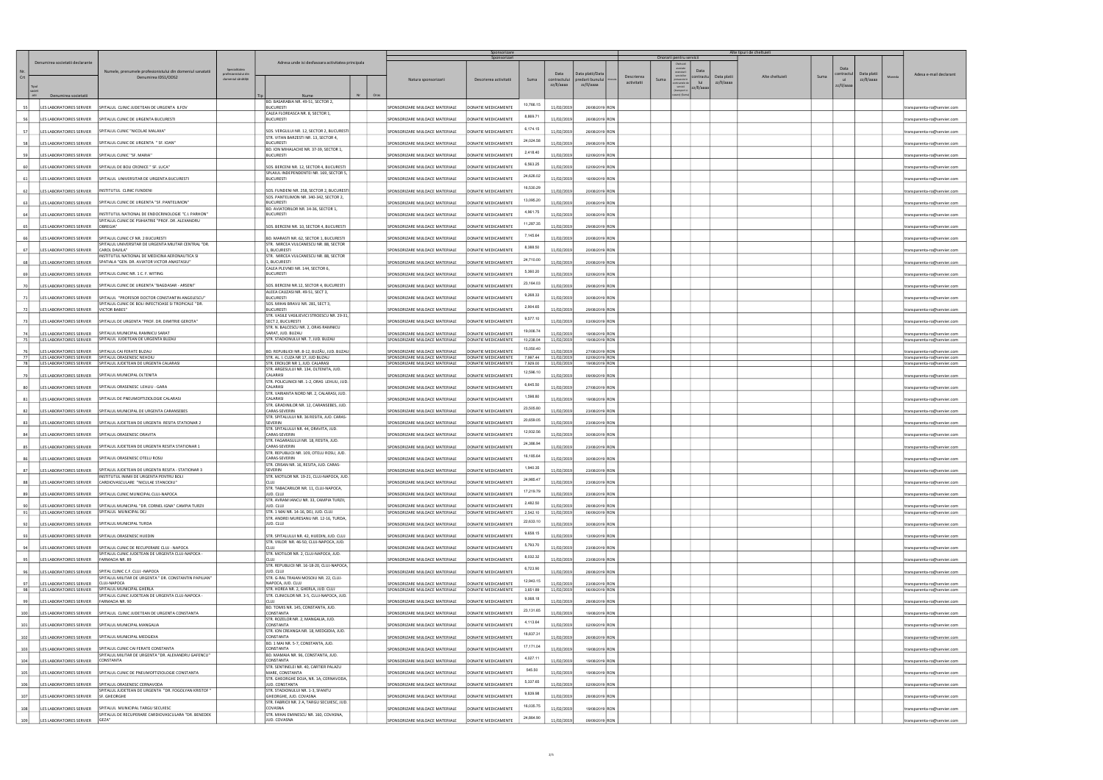|          |                                        |                                                                                                                          |                                                             |                                                                                      |      |                                                                    | Sponsorizare<br>Sponsorizari               |                      |                          |                                    |             |      | Onorarii pentru servicii                     |             | Alte tipuri de cheltuieli |      |                                                   |                                                            |
|----------|----------------------------------------|--------------------------------------------------------------------------------------------------------------------------|-------------------------------------------------------------|--------------------------------------------------------------------------------------|------|--------------------------------------------------------------------|--------------------------------------------|----------------------|--------------------------|------------------------------------|-------------|------|----------------------------------------------|-------------|---------------------------|------|---------------------------------------------------|------------------------------------------------------------|
| Crt      | Denumirea societatii declarante        | Numele, prenumele profesionistului din domeniul sanatatii<br>Denumirea IDS1/ODS2                                         | Specialitatea<br>profesionistului dir<br>domeniul sănătății | Adresa unde isi desfasoara activitatea principala                                    |      | Natura sponsorizarii                                               | Descrierea activitatii                     | Suma                 | contractului             | Data platii/Dat<br>predarii bunulu | Descrierea  | Suma | Data<br>:ontractu<br>prevazute               | Data platii | Alte cheltuieli           | Suma | Data platii<br>contractul<br>Moneda<br>zz/II/aaaa | Adesa e-mail declarant                                     |
|          |                                        |                                                                                                                          |                                                             |                                                                                      |      |                                                                    |                                            |                      | zz/II/aaaa               | zz/II/aaaa                         | activitatii |      | lui<br>ontractele o<br>servicii<br>zz/II/aaa | zz/II/aaaa  |                           |      | zz/II/aaaa                                        |                                                            |
|          | Denumirea societatii                   |                                                                                                                          |                                                             | Nume<br>BD. BASARABIA NR. 49-51, SECTOR 2,                                           | Oras |                                                                    |                                            |                      |                          |                                    |             |      | are) (Su                                     |             |                           |      |                                                   |                                                            |
| -551     |                                        | LES LABORATOIRES SERVIER SPITALUL CLINIC JUDETEAN DE URGENTA ILFOV                                                       |                                                             | <b>BUCURESTI</b>                                                                     |      | SPONSORIZARE MIJLOACE MATERIALE                                    | DONATIE MEDICAMENTE                        | 10,766.15            | 11/02/2019               | 26/08/2019 RON                     |             |      |                                              |             |                           |      |                                                   | transparenta-ro@servier.com                                |
|          |                                        | LES LABORATOIRES SERVIER   SPITALUL CLINIC DE URGENTA BUCURESTI                                                          |                                                             | CALEA FLOREASCA NR. 8, SECTOR 1,<br><b>BUCURESTI</b>                                 |      | SPONSORIZARE MIJLOACE MATERIALE                                    | DONATIE MEDICAMENTE                        | 8,869.71             | 11/02/2019               | 26/08/2019 RON                     |             |      |                                              |             |                           |      |                                                   | transparenta-ro@servier.com                                |
|          |                                        | LES LABORATOIRES SERVIER   SPITALUL CLINIC "NICOLAE MALAXA"                                                              |                                                             | SOS. VERGULUI NR. 12, SECTOR 2, BUCURESTI                                            |      | SPONSORIZARE MIJLOACE MATERIALE                                    | DONATIE MEDICAMENTE                        | 6,174.15             | 11/02/2019               | 26/08/2019 RON                     |             |      |                                              |             |                           |      |                                                   | transparenta-ro@servier.com                                |
|          | LES LABORATOIRES SERVIER               | SPITALUL CLINIC DE URGENTA " SF. IOAN"                                                                                   |                                                             | STR. VITAN BARZESTI NR. 13, SECTOR 4,<br><b>BUCURESTI</b>                            |      | SPONSORIZARE MIJLOACE MATERIALE                                    | DONATIE MEDICAMENTE                        | 24,024.58            | 11/02/2019               | 29/08/2019 RON                     |             |      |                                              |             |                           |      |                                                   | transparenta-ro@servier.com                                |
|          | LES LABORATOIRES SERVIER               | SPITALUL CLINIC "SF. MARIA"                                                                                              |                                                             | BD. ION MIHALACHE NR. 37-39, SECTOR 1,<br><b>BUCURESTI</b>                           |      | SPONSORIZARE MIJLOACE MATERIALE                                    | DONATIE MEDICAMENTE                        | 2,418.40             | 11/02/2019               | 02/09/2019 RON                     |             |      |                                              |             |                           |      |                                                   |                                                            |
|          |                                        |                                                                                                                          |                                                             |                                                                                      |      |                                                                    |                                            | 6,563.25             |                          |                                    |             |      |                                              |             |                           |      |                                                   | transparenta-ro@servier.com                                |
|          |                                        | LES LABORATOIRES SERVIER   SPITALUL DE BOLI CRONICE " SF. LUCA"                                                          |                                                             | SOS. BERCENI NR. 12, SECTOR 4, BUCURESTI<br>SPLAIUL INDEPENDENTEI NR. 169, SECTOR 5, |      | SPONSORIZARE MIJLOACE MATERIALE                                    | DONATIE MEDICAMENTE                        |                      | 11/02/2019               | 02/09/2019 RON                     |             |      |                                              |             |                           |      |                                                   | transparenta-ro@servier.com                                |
| 61       | LES LABORATOIRES SERVIER               | SPITALUL UNIVERSITAR DE URGENTA BUCURESTI                                                                                |                                                             | <b>BUCURESTI</b>                                                                     |      | SPONSORIZARE MIJLOACE MATERIALE                                    | DONATIE MEDICAMENTE                        | 24,626.02            | 11/02/2019               | 16/09/2019 RON                     |             |      |                                              |             |                           |      |                                                   | transparenta-ro@servier.com                                |
|          | LES LABORATOIRES SERVIER               | INSTITUTUL CLINIC FUNDENI                                                                                                |                                                             | SOS. FUNDENI NR. 258, SECTOR 2, BUCURESTI                                            |      | SPONSORIZARE MIJLOACE MATERIALE                                    | DONATIE MEDICAMENTE                        | 16,530.29            | 11/02/2019               | 20/08/2019 RON                     |             |      |                                              |             |                           |      |                                                   | transparenta-ro@servier.com                                |
|          | LES LABORATOIRES SERVIER               | SPITALUL CLINIC DE URGENTA "SF. PANTELIMON"                                                                              |                                                             | SOS. PANTELIMON NR. 340-342, SECTOR 2,<br><b>BUCURESTI</b>                           |      | SPONSORIZARE MIJLOACE MATERIALE                                    | DONATIE MEDICAMENTE                        | 13,095.20            | 11/02/2019               | 20/08/2019 RON                     |             |      |                                              |             |                           |      |                                                   | transparenta-ro@servier.com                                |
|          | LES LABORATOIRES SERVIER               | INSTITUTUL NATIONAL DE ENDOCRINOLOGIE "C.I. PARHON"                                                                      |                                                             | BD. AVIATORILOR NR. 34-36, SECTOR 1,<br><b>BUCURESTI</b>                             |      | SPONSORIZARE MIJLOACE MATERIALE                                    | DONATIE MEDICAMENTE                        | 4,961.75             | 11/02/2019               | 30/08/2019 RON                     |             |      |                                              |             |                           |      |                                                   | transparenta-ro@servier.com                                |
|          | LES LABORATOIRES SERVIER               | SPITALUL CLINIC DE PSIHIATRIE "PROF. DR. ALEXANDRU<br>OBREGIA'                                                           |                                                             | SOS. BERCENI NR. 10, SECTOR 4, BUCURESTI                                             |      | SPONSORIZARE MIJLOACE MATERIALE                                    | DONATIE MEDICAMENTE                        | 11,287.35            | 11/02/2019               | 29/08/2019 RON                     |             |      |                                              |             |                           |      |                                                   | transparenta-ro@servier.com                                |
|          |                                        | LES LABORATOIRES SERVIER   SPITALUL CLINIC CF NR. 2 BUCURESTI                                                            |                                                             | BD. MARASTI NR. 62, SECTOR 1, BUCURESTI                                              |      | SPONSORIZARE MIJLOACE MATERIALE                                    | DONATIE MEDICAMENTE                        | 7,145.64             | 11/02/2019               | 20/08/2019 RON                     |             |      |                                              |             |                           |      |                                                   | transparenta-ro@servier.com                                |
|          |                                        | SPITALUL UNIVERSITAR DE URGENTA MILITAR CENTRAL "DR.                                                                     |                                                             | STR. MIRCEA VULCANESCU NR. 88, SECTOR                                                |      |                                                                    |                                            | 8,388.50             |                          |                                    |             |      |                                              |             |                           |      |                                                   |                                                            |
|          | LES LABORATOIRES SERVIER CAROL DAVILA" | INSTITUTUL NATIONAL DE MEDICINA AERONAUTICA SI                                                                           |                                                             | 1, BUCURESTI<br>STR. MIRCEA VULCANESCU NR. 88, SECTOR                                |      | SPONSORIZARE MIJLOACE MATERIALE                                    | <b>DONATIE MEDICAMENTE</b>                 | 24,710.00            | 11/02/2019               | 20/08/2019 RON                     |             |      |                                              |             |                           |      |                                                   | transparenta-ro@servier.com                                |
| 68       |                                        | LES LABORATOIRES SERVIER SPATIALA "GEN. DR. AVIATOR VICTOR ANASTASIU"                                                    |                                                             | 1, BUCURESTI<br>CALEA PLEVNEI NR. 144, SECTOR 6,                                     |      | SPONSORIZARE MIJLOACE MATERIALE                                    | DONATIE MEDICAMENTE                        |                      | 11/02/2019               | 20/08/2019 RON                     |             |      |                                              |             |                           |      |                                                   | transparenta-ro@servier.com                                |
|          | LES LABORATOIRES SERVIER               | SPITALUL CLINIC NR. 1 C. F. WITING                                                                                       |                                                             | <b>BUCURESTI</b>                                                                     |      | SPONSORIZARE MIJLOACE MATERIALE                                    | DONATIE MEDICAMENTE                        | 5,360.20             | 11/02/2019               | 02/09/2019 RON                     |             |      |                                              |             |                           |      |                                                   | transparenta-ro@servier.com                                |
|          |                                        | LES LABORATOIRES SERVIER SPITALUL CLINIC DE URGENTA "BAGDASAR - ARSENI"                                                  |                                                             | SOS. BERCENI NR.12, SECTOR 4, BUCURESTI                                              |      | SPONSORIZARE MIJLOACE MATERIALE                                    | DONATIE MEDICAMENTE                        | 23,164.03            | 11/02/2019               | 29/08/2019 RON                     |             |      |                                              |             |                           |      |                                                   | transparenta-ro@servier.com                                |
|          |                                        | LES LABORATOIRES SERVIER   SPITALUL "PROFESOR DOCTOR CONSTANTIN ANGELESCU"                                               |                                                             | ALEEA CAUZASI NR. 49-51, SECT 3,<br><b>BUCURESTI</b>                                 |      | SPONSORIZARE MIJLOACE MATERIALE                                    | DONATIE MEDICAMENTE                        | 9,268.33             | 11/02/2019               | 30/08/2019 RON                     |             |      |                                              |             |                           |      |                                                   | transparenta-ro@servier.com                                |
|          | LES LABORATOIRES SERVIER               | SPITALUL CLINIC DE BOLI INFECTIOASE SI TROPICALE "DR.<br><b>VICTOR BABES"</b>                                            |                                                             | SOS. MIHAI BRAVU NR. 281, SECT 3,<br><b>BUCURESTI</b>                                |      | SPONSORIZARE MIJLOACE MATERIALE                                    | DONATIE MEDICAMENTE                        | 2,904.65             | 11/02/2019               | 29/08/2019 RON                     |             |      |                                              |             |                           |      |                                                   | transparenta-ro@servier.com                                |
|          | LES LABORATOIRES SERVIER               | SPITALUL DE URGENTA "PROF. DR. DIMITRIE GEROTA"                                                                          |                                                             | STR. VASILE VASILIEVICI STROESCU NR. 29-31,<br>SECT 2, BUCURESTI                     |      | SPONSORIZARE MIJLOACE MATERIALE                                    | DONATIE MEDICAMENTE                        | 9,577.10             | 11/02/2019               | 03/09/2019 RON                     |             |      |                                              |             |                           |      |                                                   | transparenta-ro@servier.com                                |
|          |                                        | LES LABORATOIRES SERVIER   SPITALUL MUNICIPAL RAMNICU SARAT                                                              |                                                             | STR. N. BALCESCU NR. 2, ORAS RAMNICU<br>SARAT, JUD. BUZAU                            |      | SPONSORIZARE MIJLOACE MATERIALE                                    | DONATIE MEDICAMENTE                        | 19,006.74            | 11/02/2019               | 19/08/2019 RON                     |             |      |                                              |             |                           |      |                                                   | transparenta-ro@servier.com                                |
| 75       |                                        | LES LABORATOIRES SERVIER SPITALUL JUDETEAN DE URGENTA BUZAU                                                              |                                                             | STR. STADIONULUI NR. 7, JUD. BUZAU                                                   |      | SPONSORIZARE MIJLOACE MATERIALE                                    | DONATIE MEDICAMENTE                        | 10,238.04            | 11/02/2019               | 19/08/2019 RON                     |             |      |                                              |             |                           |      |                                                   | transparenta-ro@servier.com                                |
| 76       | LES LABORATOIRES SERVIER               | SPITALUL CAI FERATE BUZAU                                                                                                |                                                             | BD. REPUBLICII NR. 8-12, BUZĂU, JUD. BUZAU                                           |      | SPONSORIZARE MIJLOACE MATERIALE                                    | DONATIE MEDICAMENTE                        | 15,050.40            | 11/02/2019               | 27/08/2019 RON                     |             |      |                                              |             |                           |      |                                                   | transparenta-ro@servier.com                                |
| 77<br>78 |                                        | LES LABORATOIRES SERVIER   SPITALUL ORASENESC NEHOIU<br>LES LABORATOIRES SERVIER   SPITALUL JUDETEAN DE URGENTA CALARASI |                                                             | STR. AL. I. CUZA NR 17, JUD BUZAU<br>STR. EROILOR NR 1, JUD. CALARASI                |      | SPONSORIZARE MIJLOACE MATERIALE<br>SPONSORIZARE MIJLOACE MATERIALE | DONATIE MEDICAMENTE<br>DONATIE MEDICAMENTE | 7,997.44<br>7.929.00 | 11/02/2019<br>11/02/2019 | 02/09/2019 RON<br>19/08/2019 RON   |             |      |                                              |             |                           |      |                                                   | transparenta-ro@servier.com<br>transparenta-ro@servier.com |
|          |                                        | LES LABORATOIRES SERVIER   SPITALUL MUNICIPAL OLTENITA                                                                   |                                                             | STR. ARGESULUI NR. 134, OLTENITA, JUD.<br>CALARASI                                   |      | SPONSORIZARE MIJLOACE MATERIALE                                    | DONATIE MEDICAMENTE                        | 12,596.10            | 11/02/2019               | 09/09/2019 RON                     |             |      |                                              |             |                           |      |                                                   | transparenta-ro@servier.com                                |
|          | LES LABORATOIRES SERVIER               | SPITALUL ORASENESC LEHLIU - GARA                                                                                         |                                                             | STR. POLICLINICII NR. 1-2, ORAS LEHLIU, JUD.<br>CALARASI                             |      | SPONSORIZARE MIJLOACE MATERIALE                                    | DONATIE MEDICAMENTE                        | 6,645.50             | 11/02/2019               | 27/08/2019 RON                     |             |      |                                              |             |                           |      |                                                   |                                                            |
|          |                                        |                                                                                                                          |                                                             | STR. VARIANTA NORD NR. 2, CALARASI, JUD.                                             |      |                                                                    |                                            | 1,598.80             |                          |                                    |             |      |                                              |             |                           |      |                                                   | transparenta-ro@servier.com                                |
|          | LES LABORATOIRES SERVIER               | SPITALUL DE PNEUMOFTIZIOLOGIE CALARASI                                                                                   |                                                             | CALARASI<br>STR. GRADINILOR NR. 12, CARANSEBES, JUD.                                 |      | SPONSORIZARE MIJLOACE MATERIALE                                    | DONATIE MEDICAMENTE                        | 23,505.80            | 11/02/2019               | 19/08/2019 RON                     |             |      |                                              |             |                           |      |                                                   | transparenta-ro@servier.com                                |
| 82       |                                        | LES LABORATOIRES SERVIER SPITALUL MUNICIPAL DE URGENTA CARANSEBES                                                        |                                                             | CARAS-SEVERIN<br>STR. SPITALULUI NR. 36 RESITA, JUD. CARAS-                          |      | SPONSORIZARE MIJLOACE MATERIALE                                    | DONATIE MEDICAMENTE                        |                      | 11/02/2019               | 23/08/2019 RON                     |             |      |                                              |             |                           |      |                                                   | transparenta-ro@servier.com                                |
| -831     |                                        | LES LABORATOIRES SERVIER SPITALUL JUDETEAN DE URGENTA RESITA STATIONAR 2                                                 |                                                             | SEVERIN<br>STR. SPITALULUI NR. 44, ORAVITA, JUD.                                     |      | SPONSORIZARE MIJLOACE MATERIALE                                    | DONATIE MEDICAMENTE                        | 20,659.05            | 11/02/2019               | 23/08/2019 RON                     |             |      |                                              |             |                           |      |                                                   | transparenta-ro@servier.com                                |
| 84       | LES LABORATOIRES SERVIER               | SPITALUL ORASENESC ORAVITA                                                                                               |                                                             | <b>CARAS-SEVERIN</b>                                                                 |      | SPONSORIZARE MIJLOACE MATERIALE                                    | DONATIE MEDICAMENTE                        | 12,932.56            | 11/02/2019               | 30/08/2019 RON                     |             |      |                                              |             |                           |      |                                                   | transparenta-ro@servier.com                                |
|          | LES LABORATOIRES SERVIER               | SPITALUL JUDETEAN DE URGENTA RESITA STATIONAR 1                                                                          |                                                             | STR. FAGARASULUI NR. 18, RESITA, JUD.<br>CARAS-SEVERIN                               |      | SPONSORIZARE MIJLOACE MATERIALE                                    | DONATIE MEDICAMENTE                        | 24,386.94            | 11/02/2019               | 23/08/2019 RON                     |             |      |                                              |             |                           |      |                                                   | transparenta-ro@servier.com                                |
|          |                                        | LES LABORATOIRES SERVIER   SPITALUL ORASENESC OTELU ROSU                                                                 |                                                             | STR. REPUBLICII NR. 109, OTELU ROSU, JUD.<br>CARAS-SEVERIN                           |      | SPONSORIZARE MIJLOACE MATERIALE                                    | DONATIE MEDICAMENTE                        | 16,185.64            | 11/02/2019               | 30/08/2019 RON                     |             |      |                                              |             |                           |      |                                                   | transparenta-ro@servier.com                                |
| 87       | LES LABORATOIRES SERVIER               | SPITALUL JUDETEAN DE URGENTA RESITA - STATIONAR 3                                                                        |                                                             | STR. CRISAN NR. 16, RESITA, JUD. CARAS-<br>SEVERIN                                   |      | SPONSORIZARE MIJLOACE MATERIALE                                    | DONATIE MEDICAMENTE                        | 1,940.35             | 11/02/2019               | 23/08/2019 RON                     |             |      |                                              |             |                           |      |                                                   | transparenta-ro@servier.com                                |
| 88       | LES LABORATOIRES SERVIER               | INSTITUTUL INIMII DE URGENTA PENTRU BOLI<br>CARDIOVASCULARE "NICULAE STANCIOIU"                                          |                                                             | STR. MOTILOR NR. 19-21, CLUJ-NAPOCA, JUD.                                            |      | SPONSORIZARE MIJLOACE MATERIALE                                    | DONATIE MEDICAMENTE                        | 24,985.47            | 11/02/2019               | 23/08/2019 RON                     |             |      |                                              |             |                           |      |                                                   | ransparenta-ro@servier.com                                 |
|          |                                        |                                                                                                                          |                                                             | STR. TABACARILOR NR. 11, CLUJ-NAPOCA,                                                |      |                                                                    |                                            | 17,219.79            |                          |                                    |             |      |                                              |             |                           |      |                                                   |                                                            |
| 89       | LES LABORATOIRES SERVIER               | SPITALUL CLINIC MUNICIPAL CLUJ-NAPOCA                                                                                    |                                                             | JUD. CLUJ<br>STR. AVRAM IANCU NR. 33, CAMPIA TURZII,                                 |      | SPONSORIZARE MIJLOACE MATERIALE                                    | DONATIE MEDICAMENTE                        | 2,482.50             | 11/02/2019               | 23/08/2019 RON                     |             |      |                                              |             |                           |      |                                                   | transparenta-ro@servier.com                                |
| 91       | LES LABORATOIRES SERVIER               | SPITALUI MUNICIPAL "DR. CORNELIGNA" CAMPIA TURZII<br>LES LABORATOIRES SERVIER SPITALUL MUNICIPAL DEJ                     |                                                             | JUD. CLUJ<br>STR. 1 MAI NR. 14-16, DEJ, JUD. CLUJ                                    |      | SPONSORIZARE MIJLOACE MATERIALE<br>SPONSORIZARE MIJLOACE MATERIALE | DONATIE MEDICAMENTE<br>DONATIE MEDICAMENTE | 2,542.10             | 11/02/2019<br>11/02/2019 | 28/08/2019 RON<br>06/09/2019 RON   |             |      |                                              |             |                           |      |                                                   | transparenta-ro@servier.com<br>transparenta-ro@servier.con |
| 92       | LES LABORATOIRES SERVIER               | SPITALUL MUNICIPAL TURDA                                                                                                 |                                                             | STR. ANDREI MURESANU NR. 12-16, TURDA,<br>JUD. CLUJ                                  |      | SPONSORIZARE MIJLOACE MATERIALE                                    | <b>DONATIE MEDICAMENTE</b>                 | 22,633.10            | 11/02/2019               | 30/08/2019 RON                     |             |      |                                              |             |                           |      |                                                   | transparenta-ro@servier.com                                |
|          |                                        | SPITALUL ORASENESC HUEDIN                                                                                                |                                                             | STR. SPITALULUI NR. 42, HUEDIN, JUD. CLUJ                                            |      | SPONSORIZARE MIJLOACE MATERIALE                                    | DONATIE MEDICAMENTE                        | 9,658.15             |                          |                                    |             |      |                                              |             |                           |      |                                                   |                                                            |
|          | LES LABORATOIRES SERVIER               |                                                                                                                          |                                                             | STR. VIILOR NR. 46-50, CLUJ-NAPOCA, JUD.                                             |      |                                                                    |                                            | 5,793.70             | 11/02/2019               | 13/09/2019 RON                     |             |      |                                              |             |                           |      |                                                   | transparenta-ro@servier.com                                |
|          | LES LABORATOIRES SERVIER               | SPITALUL CLINIC DE RECUPERARE CLUJ - NAPOCA<br>SPITALUL CLINIC JUDETEAN DE URGENTA CLUJ-NAPOCA -                         |                                                             | <b>CLUJ</b><br>STR. MOTILOR NR. 2, CLUJ-NAPOCA, JUD.                                 |      | SPONSORIZARE MIJLOACE MATERIALE                                    | DONATIE MEDICAMENTE                        |                      | 11/02/2019               | 23/08/2019 RON                     |             |      |                                              |             |                           |      |                                                   | transparenta-ro@servier.com                                |
|          | LES LABORATOIRES SERVIER               | <b>FARMACIA NR. 89</b>                                                                                                   |                                                             | CLU<br>STR. REPUBLICII NR. 16-18-20, CLUJ-NAPOCA,                                    |      | SPONSORIZARE MIJLOACE MATERIALE                                    | DONATIE MEDICAMENTE                        | 8,032.32             | 11/02/2019               | 23/08/2019 RON                     |             |      |                                              |             |                           |      |                                                   | transparenta-ro@servier.com                                |
|          | LES LABORATOIRES SERVIER               | SPITAL CLINIC C.F. CLUJ -NAPOCA<br>SPITALUL MILITAR DE URGENTA " DR. CONSTANTIN PAPILIAN"                                |                                                             | JUD. CLUJ<br>STR. G-RAL TRAIAN MOSOIU NR. 22, CLUJ-                                  |      | SPONSORIZARE MIJLOACE MATERIALE                                    | ONATIE MEDICAMENTE                         | 6,723.90             | 11/02/2019               | 28/08/2019 RON                     |             |      |                                              |             |                           |      |                                                   | transparenta-ro@servier.com                                |
|          | LES LABORATOIRES SERVIER               | <b>CLUJ-NAPOCA</b>                                                                                                       |                                                             | NAPOCA, JUD. CLUJ                                                                    |      | SPONSORIZARE MIJLOACE MATERIALE                                    | DONATIE MEDICAMENTE                        | 12,943.15            | 11/02/2019               | 23/08/2019 RON                     |             |      |                                              |             |                           |      |                                                   | transparenta-ro@servier.com                                |
| 98       |                                        | LES LABORATOIRES SERVIER   SPITALUL MUNICIPAL GHERLA<br>SPITALUL CLINIC JUDETEAN DE URGENTA CLUJ-NAPOCA -                |                                                             | STR. HOREA NR. 2, GHERLA, JUD. CLUJ<br>STR. CLINICILOR NR. 3-5, CLUJ-NAPOCA, JUD.    |      | SPONSORIZARE MIJLOACE MATERIALE                                    | DONATIE MEDICAMENTE                        | 3,651.89             | 11/02/2019               | 06/09/2019 RON                     |             |      |                                              |             |                           |      |                                                   | transparenta-ro@servier.com                                |
| -99      | LES LABORATOIRES SERVIER               | FARMACIA NR. 90                                                                                                          |                                                             | CLUI<br>BD. TOMIS NR. 145, CONSTANTA, JUD.                                           |      | SPONSORIZARE MIJLOACE MATERIALE                                    | DONATIE MEDICAMENTE                        | 9,068.18             | 11/02/2019               | 28/08/2019 RON                     |             |      |                                              |             |                           |      |                                                   | transparenta-ro@servier.com                                |
| 100      | LES LABORATOIRES SERVIER               | SPITALUL CLINIC JUDETEAN DE URGENTA CONSTANTA                                                                            |                                                             | CONSTANTA<br>STR. ROZELOR NR. 2, MANGALIA, JUD.                                      |      | SPONSORIZARE MIJLOACE MATERIALE                                    | ONATIE MEDICAMENTE                         | 23,131.65            | 11/02/2019               | 19/08/2019 RON                     |             |      |                                              |             |                           |      |                                                   | transparenta-ro@servier.com                                |
| 101      | LES LABORATOIRES SERVIER               | SPITALUL MUNICIPAL MANGALIA                                                                                              |                                                             | CONSTANTA                                                                            |      | SPONSORIZARE MIJLOACE MATERIALE                                    | DONATIE MEDICAMENTE                        | 4,113.64             | 11/02/2019               | 02/09/2019 RON                     |             |      |                                              |             |                           |      |                                                   | transparenta-ro@servier.com                                |
| 102      | LES LABORATOIRES SERVIER               | SPITALUL MUNICIPAL MEDGIDIA                                                                                              |                                                             | STR. ION CREANGA NR. 18, MEDGIDIA, JUD.<br>CONSTANTA                                 |      | SPONSORIZARE MIJLOACE MATERIALE                                    | DONATIE MEDICAMENTE                        | 18,837.31            | 11/02/2019               | 26/08/2019 RON                     |             |      |                                              |             |                           |      |                                                   | transparenta-ro@servier.com                                |
| 103      | LES LABORATOIRES SERVIER               | SPITALUL CLINIC CAI FERATE CONSTANTA                                                                                     |                                                             | BD. 1 MAI NR. 5-7, CONSTANTA, JUD.<br>CONSTANTA                                      |      | SPONSORIZARE MIJLOACE MATERIALE                                    | DONATIE MEDICAMENTE                        | 17,171.04            | 11/02/2019               | 19/08/2019 RON                     |             |      |                                              |             |                           |      |                                                   | transparenta-ro@servier.com                                |
| 104      | LES LABORATOIRES SERVIER               | SPITALUL MILITAR DE URGENTA "DR. ALEXANDRU GAFENCU"<br>CONSTANTA                                                         |                                                             | BD. MAMAIA NR. 96, CONSTANTA, JUD.<br>CONSTANTA                                      |      | SPONSORIZARE MIJLOACE MATERIALE                                    | DONATIE MEDICAMENTE                        | 4,027.11             | 11/02/2019               | 19/08/2019 RON                     |             |      |                                              |             |                           |      |                                                   | transparenta-ro@servier.com                                |
|          | LES LABORATOIRES SERVIER               | SPITALUL CLINIC DE PNEUMOFTIZIOLOGIE CONSTANTA                                                                           |                                                             | STR. SENTINELEI NR. 40, CARTIER PALAZU<br>MARE, CONSTANTA                            |      | SPONSORIZARE MIJLOACE MATERIALE                                    | DONATIE MEDICAMENTE                        | 545.50               | 11/02/2019               |                                    |             |      |                                              |             |                           |      |                                                   |                                                            |
| 105      |                                        |                                                                                                                          |                                                             | STR. GHEORGHE DOJA, NR. 1A, CERNAVODA,                                               |      |                                                                    |                                            | 5,337.65             |                          | 19/08/2019 RON                     |             |      |                                              |             |                           |      |                                                   | transparenta-ro@servier.com                                |
| 106      | LES LABORATOIRES SERVIER               | SPITALUL ORASENESC CERNAVODA<br>SPITALUL JUDETEAN DE URGENTA "DR. FOGOLYAN KRISTOF"                                      |                                                             | JUD. CONSTANTA<br>STR. STADIONULUI NR. 1-3, SFANTU                                   |      | SPONSORIZARE MIJLOACE MATERIALE                                    | DONATIE MEDICAMENTE                        | 9,839.98             | 11/02/2019               | 02/09/2019 RON                     |             |      |                                              |             |                           |      |                                                   | transparenta-ro@servier.com                                |
| 107      | LES LABORATOIRES SERVIER               | SF. GHEORGHE                                                                                                             |                                                             | GHEORGHE, JUD. COVASNA<br>STR. FABRICII NR. 2 A, TARGU SECUIESC, JUD.                |      | SPONSORIZARE MIJLOACE MATERIALE                                    | DONATIE MEDICAMENTE                        |                      | 11/02/2019               | 28/08/2019 RON                     |             |      |                                              |             |                           |      |                                                   | transparenta-ro@servier.com                                |
| 108      |                                        | LES LABORATOIRES SERVIER   SPITALUL MUNICIPAL TARGU SECUIESC<br>SPITALUL DE RECUPERARE CARDIOVASCULARA "DR. BENEDEK      |                                                             | COVASNA<br>STR. MIHAI EMINESCU NR. 160, COVASNA,                                     |      | SPONSORIZARE MIJLOACE MATERIALE                                    | DONATIE MEDICAMENTE                        | 16,035.75            | 11/02/2019               | 19/08/2019 RON                     |             |      |                                              |             |                           |      |                                                   | transparenta-ro@servier.com                                |
| 109      | LES LABORATOIRES SERVIER GEZA"         |                                                                                                                          |                                                             | JUD. COVASNA                                                                         |      | SPONSORIZARE MIJLOACE MATERIALE                                    | DONATIE MEDICAMENTE                        | 24,864.90            | 11/02/2019               | 09/09/2019 RON                     |             |      |                                              |             |                           |      |                                                   | transparenta-ro@servier.com                                |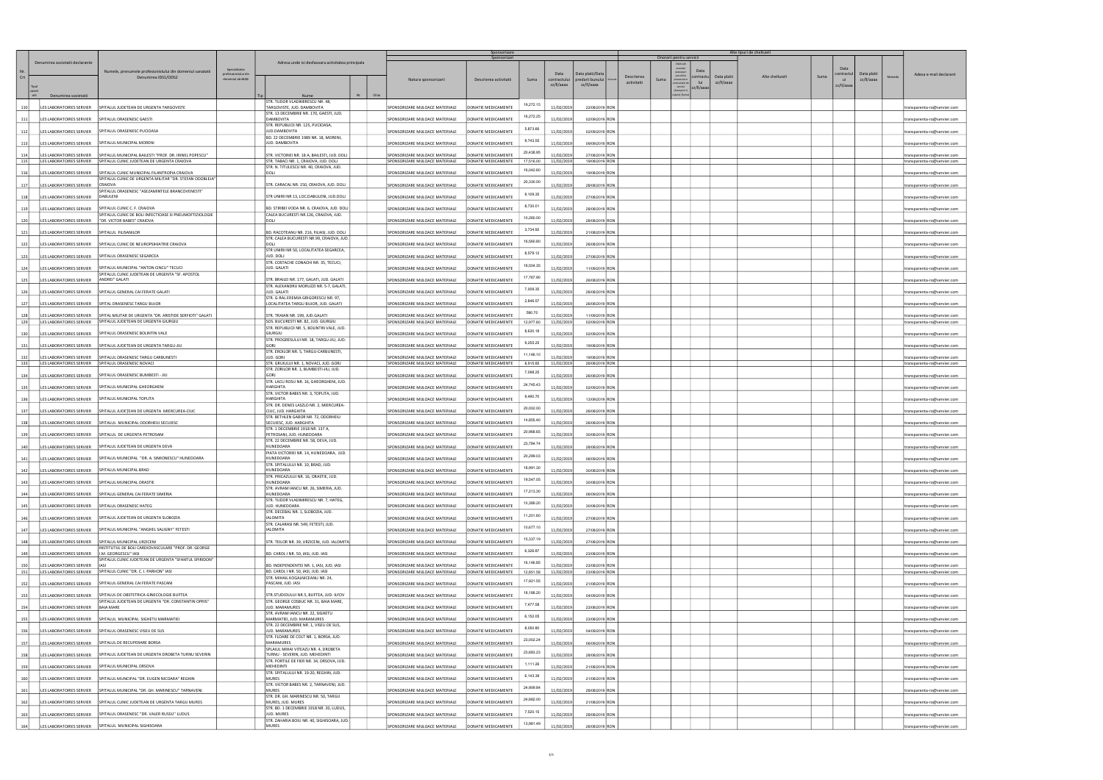|            |                                                  |                                                                                                                      |                                                            |                                                                                   |      |                                                                    | Sponsorizare                               |                        |                          |                                     |                                   | Onorarii pentru servicii                                |                           | Alte tipuri de cheltuieli |      |                                         |        |                                                            |
|------------|--------------------------------------------------|----------------------------------------------------------------------------------------------------------------------|------------------------------------------------------------|-----------------------------------------------------------------------------------|------|--------------------------------------------------------------------|--------------------------------------------|------------------------|--------------------------|-------------------------------------|-----------------------------------|---------------------------------------------------------|---------------------------|---------------------------|------|-----------------------------------------|--------|------------------------------------------------------------|
| Crt        | Denumirea societatii declarante                  | Numele, prenumele profesionistului din domeniul sanatatii<br>Denumirea IDS1/ODS2                                     | Specialitatea<br>profesionistului di<br>domeniul sănătății | Adresa unde isi desfasoara activitatea principala                                 |      | Natura sponsorizarii                                               | Descrierea activitatii                     | Suma                   | Data<br>contractului     | Data platii/Dati<br>predarii bunulu | Descrierea<br>Suma<br>activitatii | Data<br>contractu<br>prevazute i<br>lui<br>ontractele d | Data platii<br>zz/II/aaaa | Alte cheltuieli           | Suma | Data platii<br>contractul<br>zz/II/aaaa | Moneda | Adesa e-mail declarant                                     |
|            | Denumirea societatii                             |                                                                                                                      |                                                            | <b>Nume</b>                                                                       | Oras |                                                                    |                                            |                        | zz/II/aaaa               | zz/II/aaaa                          |                                   | servicii<br>zz/II/aaa                                   |                           |                           |      | zz/II/aaaa                              |        |                                                            |
| 110        |                                                  | LES LABORATOIRES SERVIER   SPITALUL JUDETEAN DE URGENTA TARGOVISTE                                                   |                                                            | STR. TUDOR VLADIMIRESCU NR. 48,<br>TARGOVISTE, JUD. DAMBOVITA                     |      | SPONSORIZARE MIJLOACE MATERIALE                                    | DONATIE MEDICAMENTE                        | 19,272.15              | 11/02/2019               | 22/08/2019 RON                      |                                   |                                                         |                           |                           |      |                                         |        | transparenta-ro@servier.com                                |
| 111        |                                                  | LES LABORATOIRES SERVIER SPITALUL ORASENESC GAESTI                                                                   |                                                            | STR. 13 DECEMBRIE NR. 170, GAESTI, JUD.<br><b>DAMBOVITA</b>                       |      | SPONSORIZARE MIJLOACE MATERIALE                                    | DONATIE MEDICAMENTE                        | 16,272.25              | 11/02/2019               | 02/09/2019 RON                      |                                   |                                                         |                           |                           |      |                                         |        | transparenta-ro@servier.com                                |
| 112        |                                                  | LES LABORATOIRES SERVIER SPITALUL ORASENESC PUCIOASA                                                                 |                                                            | STR. REPUBLICII NR. 125, PUCIOASA,<br>JUD.DAMBOVITA                               |      | SPONSORIZARE MIJLOACE MATERIALE                                    | DONATIE MEDICAMENTE                        | 5,873.66               | 11/02/2019               | 02/09/2019 RON                      |                                   |                                                         |                           |                           |      |                                         |        | transparenta-ro@servier.com                                |
| 113        | LES LABORATOIRES SERVIER                         | SPITALUL MUNICIPAL MORENI                                                                                            |                                                            | BD. 22 DECEMBRIE 1989 NR. 18, MORENI,<br>JUD. DAMBOVITA                           |      | SPONSORIZARE MIJLOACE MATERIALE                                    | DONATIE MEDICAMENTE                        | 9,743.55               | 11/02/2019               | 09/09/2019 RON                      |                                   |                                                         |                           |                           |      |                                         |        | transparenta-ro@servier.com                                |
| 114        | LES LABORATOIRES SERVIER                         | SPITALUL MUNICIPAL BAILESTI "PROF. DR. IRINEL POPESCU"                                                               |                                                            | STR. VICTORIEI NR. 18 A, BAILESTI, JUD. DOLJ                                      |      | SPONSORIZARE MIJLOACE MATERIALE                                    | DONATIE MEDICAMENTE                        | 20,438.95              | 11/02/2019               | 27/08/2019 RON                      |                                   |                                                         |                           |                           |      |                                         |        | transparenta-ro@servier.com                                |
| 115        |                                                  | LES LABORATOIRES SERVIER SPITALUL CLINIC JUDETEAN DE URGENTA CRAIOVA                                                 |                                                            | STR. TABACI NR. 1, CRAIOVA, JUD. DOLJ<br>STR. N. TITULESCU NR. 40, CRAIOVA, JUD.  |      | SPONSORIZARE MIJLOACE MATERIALE                                    | DONATIE MEDICAMENTE                        | 17,516.00              | 11/02/2019               | 19/08/2019 RON                      |                                   |                                                         |                           |                           |      |                                         |        | transparenta-ro@servier.com                                |
| 116        |                                                  | LES LABORATOIRES SERVIER SPITALUL CLINIC MUNICIPAL FILANTROPIA CRAIOVA                                               |                                                            | DOLJ                                                                              |      | SPONSORIZARE MIJLOACE MATERIALE                                    | <b>DONATIE MEDICAMENTE</b>                 | 16,042.60              | 11/02/2019               | 19/08/2019 RON                      |                                   |                                                         |                           |                           |      |                                         |        | transparenta-ro@servier.com                                |
| 117        | LES LABORATOIRES SERVIER                         | SPITALUL CLINIC DE URGENTA MILITAR "DR. STEFAN ODOBLEJA"<br><b>CRAIOVA</b>                                           |                                                            | STR. CARACAL NR. 150, CRAIOVA, JUD. DOLJ                                          |      | SPONSORIZARE MIJLOACE MATERIALE                                    | DONATIE MEDICAMENTE                        | 20,330.00              | 11/02/2019               | 28/08/2019 ROM                      |                                   |                                                         |                           |                           |      |                                         |        | transparenta-ro@servier.com                                |
| 118        | LES LABORATOIRES SERVIER   DABULENI              | SPITALUL ORASENESC "ASEZAMINTELE BRANCOVENESTI"                                                                      |                                                            | STR UNIRII NR 13, LOC.DABULENI, JUD.DOLJ                                          |      | SPONSORIZARE MIJLOACE MATERIALE                                    | DONATIE MEDICAMENTE                        | 9,109.35               | 11/02/2019               | 27/08/2019 RON                      |                                   |                                                         |                           |                           |      |                                         |        | transparenta-ro@servier.com                                |
| 119        |                                                  | LES LABORATOIRES SERVIER   SPITALUL CLINIC C. F. CRAIOVA                                                             |                                                            | BD. STIRBEI VODA NR. 6, CRAIOVA, JUD. DOLJ                                        |      | SPONSORIZARE MIJLOACE MATERIALE                                    | DONATIE MEDICAMENTE                        | 8,730.01               | 11/02/2019               | 28/08/2019 RON                      |                                   |                                                         |                           |                           |      |                                         |        | transparenta-ro@servier.com                                |
| 120        |                                                  | SPITALUL CLINIC DE BOLI INFECTIOASE SI PNEUMOFTIZIOLOGIE<br>LES LABORATOIRES SERVIER   "DR. VICTOR BABES" CRAIOVA    |                                                            | CALEA BUCURESTI NR.126, CRAIOVA, JUD.<br>DOLJ                                     |      | SPONSORIZARE MIJLOACE MATERIALE                                    | DONATIE MEDICAMENTE                        | 10,260.00              | 11/02/2019               | 28/08/2019 RON                      |                                   |                                                         |                           |                           |      |                                         |        | transparenta-ro@servier.com                                |
| 121        | LES LABORATOIRES SERVIER   SPITALUL FILISANILOR  |                                                                                                                      |                                                            | BD. RACOTEANU NR. 216, FILIASI, JUD. DOLJ                                         |      | SPONSORIZARE MIJLOACE MATERIALE                                    | DONATIE MEDICAMENTE                        | 3,734.92               | 11/02/2019               | 21/08/2019 RON                      |                                   |                                                         |                           |                           |      |                                         |        | transparenta-ro@servier.com                                |
| 122        |                                                  | LES LABORATOIRES SERVIER   SPITALUL CLINIC DE NEUROPSIHIATRIE CRAIOVA                                                |                                                            | STR. CALEA BUCURESTI NR.99, CRAIOVA, JUD.                                         |      | SPONSORIZARE MIJLOACE MATERIALE                                    | DONATIE MEDICAMENTE                        | 16,560.80              | 11/02/2019               | 26/08/2019 RON                      |                                   |                                                         |                           |                           |      |                                         |        | transparenta-ro@servier.com                                |
| 123        |                                                  | LES LABORATOIRES SERVIER   SPITALUL ORASENESC SEGARCEA                                                               |                                                            | STR UNIRII NR 50, LOCALITATEA SEGARCEA,<br>JUD. DOLJ                              |      | SPONSORIZARE MIJLOACE MATERIALE                                    | DONATIE MEDICAMENTE                        | 8,579.12               | 11/02/2019               | 27/08/2019 RON                      |                                   |                                                         |                           |                           |      |                                         |        | transparenta-ro@servier.com                                |
| 124        |                                                  | LES LABORATOIRES SERVIER   SPITALUL MUNICIPAL "ANTON CINCU" TECUCI                                                   |                                                            | STR. COSTACHE CONACHI NR. 35, TECUCI,<br>JUD. GALATI                              |      | SPONSORIZARE MIJLOACE MATERIALE                                    | DONATIE MEDICAMENTE                        | 18,504.35              | 11/02/2019               | 11/09/2019 RON                      |                                   |                                                         |                           |                           |      |                                         |        | transparenta-ro@servier.com                                |
| 125        | LES LABORATOIRES SERVIER   ANDREI" GALATI        | SPITALUL CLINIC JUDETEAN DE URGENTA "SF. APOSTOL                                                                     |                                                            | STR. BRAILEI NR. 177, GALATI, JUD. GALATI                                         |      | SPONSORIZARE MIJLOACE MATERIALE                                    | DONATIE MEDICAMENTE                        | 17,767.90              | 11/02/2019               | 26/08/2019 RON                      |                                   |                                                         |                           |                           |      |                                         |        | transparenta-ro@servier.com                                |
| 126        |                                                  | LES LABORATOIRES SERVIER   SPITALUL GENERAL CAI FERATE GALATI                                                        |                                                            | STR. ALEXANDRU MORUZZI NR. 5-7, GALATI,<br>JUD, GALATI                            |      | SPONSORIZARE MIJLOACE MATERIALE                                    | DONATIE MEDICAMENTE                        | 7,009.35               | 11/02/2019               | 26/08/2019 RON                      |                                   |                                                         |                           |                           |      |                                         |        | transparenta-ro@servier.com                                |
| 127        |                                                  | LES LABORATOIRES SERVIER SPITAL ORASENESC TARGU BUJOR                                                                |                                                            | STR. G-RAL EREMIA GRIGORESCU NR. 97,<br>LOCALITATEA TARGU BUJOR, JUD. GALATI      |      | SPONSORIZARE MIJLOACE MATERIALE                                    | <b>DONATIE MEDICAMENTE</b>                 | 2,846.57               | 11/02/2019               | 26/08/2019 RON                      |                                   |                                                         |                           |                           |      |                                         |        | transparenta-ro@servier.com                                |
| 128        |                                                  | LES LABORATOIRES SERVIER   SPITAL MILITAR DE URGENTA "DR. ARISTIDE SERFIOTI" GALATI                                  |                                                            | STR. TRAIAN NR. 199, JUD.GALATI                                                   |      | SPONSORIZARE MIJLOACE MATERIALE                                    | DONATIE MEDICAMENTE                        | 590.70                 | 11/02/2019               | 11/09/2019 RON                      |                                   |                                                         |                           |                           |      |                                         |        | transparenta-ro@servier.com                                |
| 129        |                                                  | LES LABORATOIRES SERVIER SPITALUL JUDETEAN DE URGENTA GIURGIU                                                        |                                                            | SOS. BUCURESTI NR. 82, JUD. GIURGIU<br>STR. REPUBLICII NR. 5, BOLINTIN VALE, JUD. |      | SPONSORIZARE MIJLOACE MATERIALE                                    | DONATIE MEDICAMENTE                        | 12,977.60<br>8,630.18  | 11/02/2019               | 02/09/2019 RON                      |                                   |                                                         |                           |                           |      |                                         |        | transparenta-ro@servier.com                                |
| 130        |                                                  | LES LABORATOIRES SERVIER   SPITALUL ORASENESC BOLINTIN VALE                                                          |                                                            | GIURGIU<br>STR. PROGRESULUI NR. 18, TARGU-JIU, JUD.                               |      | SPONSORIZARE MIJLOACE MATERIALE                                    | <b>DONATIE MEDICAMENTE</b>                 | 9,255.25               | 11/02/2019               | 02/09/2019 RON                      |                                   |                                                         |                           |                           |      |                                         |        | transparenta-ro@servier.com                                |
| 131        |                                                  | LES LABORATOIRES SERVIER SPITALUL JUDETEAN DE URGENTA TARGU-JIU                                                      |                                                            | STR. EROILOR NR. 5, TARGU-CARBUNESTI,                                             |      | SPONSORIZARE MIJLOACE MATERIALE                                    | DONATIE MEDICAMENTE                        | 11,146.10              | 11/02/2019               | 19/08/2019 RON                      |                                   |                                                         |                           |                           |      |                                         |        | transparenta-ro@servier.com                                |
| 132<br>133 |                                                  | LES LABORATOIRES SERVIER   SPITALUL ORASENESC TARGU CARBUNESTI<br>LES LABORATOIRES SERVIER SPITALUL ORASENESC NOVACI |                                                            | JUD. GORJ<br>STR. GRUIULUI NR. 1, NOVACI, JUD. GORJ                               |      | SPONSORIZARE MIJLOACE MATERIALE<br>SPONSORIZARE MIJLOACE MATERIALE | DONATIE MEDICAMENTE<br>DONATIE MEDICAMENTE | 8,915.85               | 11/02/2019<br>11/02/2019 | 19/08/2019 RON<br>26/08/2019 RON    |                                   |                                                         |                           |                           |      |                                         |        | transparenta-ro@servier.com<br>transparenta-ro@servier.com |
| 134        |                                                  | LES LABORATOIRES SERVIER   SPITALUL ORASENESC BUMBESTI - JIU                                                         |                                                            | STR. ZORILOR NR. 1, BUMBESTI-JIU, JUD.<br>GORJ                                    |      | SPONSORIZARE MIJLOACE MATERIALE                                    | DONATIE MEDICAMENTE                        | 7,098.25               | 11/02/2019               | 26/08/2019 RON                      |                                   |                                                         |                           |                           |      |                                         |        | transparenta-ro@servier.com                                |
| 135        |                                                  | LES LABORATOIRES SERVIER SPITALUL MUNICIPAL GHEORGHENI                                                               |                                                            | STR. LACU ROSU NR. 16, GHEORGHENI, JUD.<br><b>HARGHITA</b>                        |      | SPONSORIZARE MIJLOACE MATERIALE                                    | DONATIE MEDICAMENTE                        | 24,745.43              | 11/02/2019               | 02/09/2019 RON                      |                                   |                                                         |                           |                           |      |                                         |        | transparenta-ro@servier.com                                |
| 136        | LES LABORATOIRES SERVIER                         | SPITALUL MUNICIPAL TOPLITA                                                                                           |                                                            | STR. VICTOR BABES NR. 3, TOPLITA, JUD.<br>HARGHITA                                |      | SPONSORIZARE MIJLOACE MATERIALE                                    | DONATIE MEDICAMENTE                        | 9,490.70               | 11/02/2019               | 13/09/2019 RON                      |                                   |                                                         |                           |                           |      |                                         |        | transparenta-ro@servier.com                                |
| 137        |                                                  | LES LABORATOIRES SERVIER SPITALUL JUDETEAN DE URGENTA MIERCUREA-CIUC                                                 |                                                            | STR. DR. DENES LASZLO NR. 2, MIERCUREA-<br>CIUC, JUD. HARGHITA                    |      | SPONSORIZARE MIJLOACE MATERIALE                                    | DONATIE MEDICAMENTE                        | 20,002.00              | 11/02/2019               | 26/08/2019 RON                      |                                   |                                                         |                           |                           |      |                                         |        | transparenta-ro@servier.com                                |
| 138        |                                                  | LES LABORATOIRES SERVIER   SPITALUL MUNICIPAL ODORHEIU SECUIESC                                                      |                                                            | STR. BETHLEN GABOR NR. 72, ODORHEIU<br>SECUIESC, JUD. HARGHITA                    |      | SPONSORIZARE MIJLOACE MATERIALE                                    | DONATIE MEDICAMENTE                        | 14,855.40              | 11/02/2019               | 26/08/2019 RON                      |                                   |                                                         |                           |                           |      |                                         |        | transparenta-ro@servier.com                                |
| 139        | LES LABORATOIRES SERVIER                         | SPITALUL DE URGENTA PETROSANI                                                                                        |                                                            | STR. 1 DECEMBRIE 1918 NR. 137 A,<br>PETROSANI, JUD. HUNEDOARA                     |      | SPONSORIZARE MIJLOACE MATERIALE                                    | DONATIE MEDICAMENTE                        | 20,968.65              | 11/02/2019               | 30/08/2019 RON                      |                                   |                                                         |                           |                           |      |                                         |        | transparenta-ro@servier.com                                |
| 140        |                                                  | LES LABORATOIRES SERVIER SPITALUL JUDETEAN DE URGENTA DEVA                                                           |                                                            | STR. 22 DECEMBRIE NR. 58, DEVA, JUD.<br>HUNEDOARA                                 |      | SPONSORIZARE MIJLOACE MATERIALE                                    | DONATIE MEDICAMENTE                        | 23,784.74              | 11/02/2019               | 28/08/2019 RON                      |                                   |                                                         |                           |                           |      |                                         |        | transparenta-ro@servier.com                                |
| 141        |                                                  | LES LABORATOIRES SERVIER SPITALUL MUNICIPAL "DR. A. SIMIONESCU" HUNEDOARA                                            |                                                            | PIATA VICTORIEI NR. 14, HUNEDOARA, JUD.<br>HUNEDOARA                              |      | SPONSORIZARE MIJLOACE MATERIALE                                    | DONATIE MEDICAMENTE                        | 20,299.03              | 11/02/2019               | 06/09/2019 RON                      |                                   |                                                         |                           |                           |      |                                         |        | transparenta-ro@servier.com                                |
| 142        | LES LABORATOIRES SERVIER SPITALUL MUNICIPAL BRAD |                                                                                                                      |                                                            | STR. SPITALULUI NR. 10, BRAD, JUD.<br>HUNEDOARA                                   |      | SPONSORIZARE MIJLOACE MATERIALE                                    | DONATIE MEDICAMENTE                        | 18,991.30              | 11/02/2019               | 30/08/2019 RON                      |                                   |                                                         |                           |                           |      |                                         |        | transparenta-ro@servier.com                                |
| 143        | LES LABORATOIRES SERVIER                         | SPITALUL MUNICIPAL ORASTIE                                                                                           |                                                            | STR. PRICAZULUI NR. 16, ORASTIE, JUD.<br>HUNEDOARA                                |      | SPONSORIZARE MIJLOACE MATERIALE                                    | <b>DONATIE MEDICAMENTE</b>                 | 19,547.05              | 11/02/2019               | 30/08/2019 RON                      |                                   |                                                         |                           |                           |      |                                         |        | transparenta-ro@servier.com                                |
| 144        |                                                  | LES LABORATOIRES SERVIER   SPITALUL GENERAL CAI FERATE SIMERIA                                                       |                                                            | STR. AVRAM IANCU NR. 26, SIMERIA, JUD.<br>HUNEDOARA                               |      | SPONSORIZARE MIJLOACE MATERIALE                                    | DONATIE MEDICAMENTE                        | 17,213.30              | 11/02/2019               | 06/09/2019 RON                      |                                   |                                                         |                           |                           |      |                                         |        | transparenta-ro@servier.com                                |
| 145        |                                                  | LES LABORATOIRES SERVIER   SPITALUL ORASENESC HATEG                                                                  |                                                            | STR. TUDOR VLADIMIRESCU NR. 7, HATEG,<br>JUD. HUNEDOARA                           |      | SPONSORIZARE MIJLOACE MATERIALE                                    | DONATIE MEDICAMENTE                        | 10,389.20              | 11/02/2019               | 30/08/2019 RON                      |                                   |                                                         |                           |                           |      |                                         |        | transparenta-ro@servier.com                                |
| 146        | LES LABORATOIRES SERVIER                         | SPITALUL JUDETEAN DE URGENTA SLOBOZIA                                                                                |                                                            | STR. DECEBAL NR. 1, SLOBOZIA, JUD.<br>IALOMITA                                    |      | SPONSORIZARE MIJLOACE MATERIALE                                    | <b>DONATIE MEDICAMENTE</b>                 | 11,201.60              | 11/02/2019               | 27/08/2019 RON                      |                                   |                                                         |                           |                           |      |                                         |        | transparenta-ro@servier.com                                |
| 147        | LES LABORATOIRES SERVIER                         | SPITALUL MUNICIPAL "ANGHEL SALIGNY" FETESTI                                                                          |                                                            | STR. CALARASI NR. 549, FETESTI, JUD.<br><b>IALOMITA</b>                           |      | SPONSORIZARE MIJLOACE MATERIALE                                    | DONATIE MEDICAMENTE                        | 10,677.10              | 11/02/2019               | 27/08/2019 RON                      |                                   |                                                         |                           |                           |      |                                         |        | transparenta-ro@servier.com                                |
| 148        |                                                  | LES LABORATOIRES SERVIER   SPITALUL MUNICIPAL URZICENI                                                               |                                                            | STR. TEILOR NR. 39, URZICENI, JUD. IALOMITA                                       |      | SPONSORIZARE MIJLOACE MATERIALE                                    | DONATIE MEDICAMENTE                        | 15,337.19              | 11/02/2019               | 27/08/2019 RON                      |                                   |                                                         |                           |                           |      |                                         |        | transparenta-ro@servier.com                                |
| 149        | LES LABORATOIRES SERVIER                         | INSTITUTUL DE BOLI CARDIOVASCULARE "PROF. DR. GEORGE<br>I.M. GEORGESCU" IASI                                         |                                                            | BD. CAROL I NR. 50, IASI, JUD. IASI                                               |      | SPONSORIZARE MIJLOACE MATERIALE                                    | DONATIE MEDICAMENTE                        | 6,326.87               | 11/02/2019               | 23/08/2019 RON                      |                                   |                                                         |                           |                           |      |                                         |        | transparenta-ro@servier.com                                |
| 150        | LES LABORATOIRES SERVIER                         | SPITALUL CLINIC JUDETEAN DE URGENTA "SFANTUL SPIRIDON"<br><b>IJASI</b>                                               |                                                            | BD. INDEPENDENTEI NR. 1, IASI, JUD. IASI                                          |      | SPONSORIZARE MIJLOACE MATERIALE                                    | DONATIE MEDICAMENTE                        | 16,146.85              | 11/02/2019               | 23/08/2019 RON                      |                                   |                                                         |                           |                           |      |                                         |        | transparenta-ro@servier.com                                |
| 151        |                                                  | LES LABORATOIRES SERVIER SPITALUL CLINIC "DR. C. I. PARHON" IASI                                                     |                                                            | BD. CAROL I NR. 50, IASI, JUD. IASI<br>STR. MIHAIL KOGALNICEANU NR. 24,           |      | SPONSORIZARE MIJLOACE MATERIALE                                    | DONATIE MEDICAMENTE                        | 12,851.58<br>17,921.55 | 11/02/2019               | 23/08/2019 RON                      |                                   |                                                         |                           |                           |      |                                         |        | transparenta-ro@servier.com                                |
| 152        |                                                  | LES LABORATOIRES SERVIER   SPITALUL GENERAL CAI FERATE PASCANI                                                       |                                                            | PASCANI, JUD. IASI                                                                |      | SPONSORIZARE MIJLOACE MATERIALE                                    | <b>DONATIE MEDICAMENTE</b>                 | 18,188.20              | 11/02/2019               | 21/08/2019 RON                      |                                   |                                                         |                           |                           |      |                                         |        | transparenta-ro@servier.com                                |
| 153        | LES LABORATOIRES SERVIER                         | SPITALUL DE OBSTETRICA-GINECOLOGIE BUFTEA<br>SPITALUL JUDETEAN DE URGENTA "DR. CONSTANTIN OPRIS"                     |                                                            | STR.STUDIOULUI NR.5, BUFTEA, JUD. ILFOV<br>STR. GEORGE COSBUC NR. 31, BAIA MARE,  |      | SPONSORIZARE MIJLOACE MATERIALE                                    | DONATIE MEDICAMENTE                        | 7,477.58               | 11/02/2019               | 04/09/2019 RON                      |                                   |                                                         |                           |                           |      |                                         |        | transparenta-ro@servier.com                                |
| 154        | LES LABORATOIRES SERVIER                         | <b>BAIA MARE</b>                                                                                                     |                                                            | JUD. MARAMURES<br>STR. AVRAM IANCU NR. 22, SIGHETU                                |      | SPONSORIZARE MIJLOACE MATERIALE                                    | DONATIE MEDICAMENTE                        | 6,152.05               | 11/02/2019               | 23/08/2019 RON                      |                                   |                                                         |                           |                           |      |                                         |        | transparenta-ro@servier.com                                |
| 155        |                                                  | LES LABORATOIRES SERVIER SPITALUL MUNICIPAL SIGHETU MARMATIEI                                                        |                                                            | MARMATIEI, JUD. MARAMURES<br>STR. 22 DECEMBRIE NR. 1, VISEU DE SUS,               |      | SPONSORIZARE MIJLOACE MATERIALE                                    | DONATIE MEDICAMENTE                        | 8,050.80               | 11/02/2019               | 23/08/2019 RON                      |                                   |                                                         |                           |                           |      |                                         |        | transparenta-ro@servier.com                                |
| 156        |                                                  | LES LABORATOIRES SERVIER SPITALUL ORASENESC VISEU DE SUS                                                             |                                                            | JUD. MARAMURES<br>STR. FLOARE DE COLT NR. 1, BORSA, JUD.                          |      | SPONSORIZARE MIJLOACE MATERIALE                                    | DONATIE MEDICAMENTE                        | 23,002.24              | 11/02/2019               | 04/09/2019 RON                      |                                   |                                                         |                           |                           |      |                                         |        | transparenta-ro@servier.com                                |
| 157        | LES LABORATOIRES SERVIER                         | SPITALUL DE RECUPERARE BORSA                                                                                         |                                                            | MARAMURES<br>SPLAIUL MIHAI VITEAZU NR. 4, DROBETA                                 |      | SPONSORIZARE MIJLOACE MATERIALE                                    | <b>DONATIE MEDICAMENTE</b>                 |                        | 11/02/2019               | 06/09/2019 RON                      |                                   |                                                         |                           |                           |      |                                         |        | transparenta-ro@servier.com                                |
| 158        | LES LABORATOIRES SERVIER                         | SPITALUL JUDETEAN DE URGENTA DROBETA TURNU SEVERIN                                                                   |                                                            | TURNU - SEVERIN, JUD. MEHEDINTI<br>STR. PORTILE DE FIER NR. 34, ORSOVA, JUD.      |      | SPONSORIZARE MIJLOACE MATERIALE                                    | DONATIE MEDICAMENTE                        | 23,683.23              | 11/02/2019               | 28/08/2019 RON                      |                                   |                                                         |                           |                           |      |                                         |        | transparenta-ro@servier.com                                |
| 159        |                                                  | LES LABORATOIRES SERVIER   SPITALUL MUNICIPAL ORSOVA                                                                 |                                                            | MEHEDINTI<br>STR. SPITALULUI NR. 19-20, REGHIN, JUD.                              |      | SPONSORIZARE MIJLOACE MATERIALE                                    | DONATIE MEDICAMENTE                        | 1,111.26<br>6,143.39   | 11/02/2019               | 21/08/2019 RON                      |                                   |                                                         |                           |                           |      |                                         |        | transparenta-ro@servier.com                                |
| 160        | LES LABORATOIRES SERVIER                         | SPITALUL MUNCIPAL "DR. EUGEN NICOARA" REGHIN                                                                         |                                                            | <b>MURES</b><br>STR. VICTOR BABES NR. 2, TARNAVENI, JUD.                          |      | SPONSORIZARE MIJLOACE MATERIALE                                    | DONATIE MEDICAMENTE                        |                        | 11/02/2019               | 21/08/2019 RON                      |                                   |                                                         |                           |                           |      |                                         |        | transparenta-ro@servier.com                                |
| 161        | LES LABORATOIRES SERVIER                         | SPITALUL MUNICIPAL "DR. GH. MARINESCU" TARNAVENI                                                                     |                                                            | MURES<br>STR. DR. GH. MARINESCU NR. 50, TARGU                                     |      | SPONSORIZARE MIJLOACE MATERIALE                                    | DONATIE MEDICAMENTE                        | 24,909.84              | 11/02/2019               | 28/08/2019 RON                      |                                   |                                                         |                           |                           |      |                                         |        | transparenta-ro@servier.com                                |
| 162        | LES LABORATOIRES SERVIER                         | SPITALUL CLINIC JUDETEAN DE URGENTA TARGU MURES                                                                      |                                                            | MURES, JUD. MURES<br>STR. BD. 1 DECEMBRIE 1918 NR. 20, LUDUS,                     |      | SPONSORIZARE MIJLOACE MATERIALE                                    | DONATIE MEDICAMENTE                        | 24,682.00              | 11/02/2019               | 21/08/2019 RON                      |                                   |                                                         |                           |                           |      |                                         |        | transparenta-ro@servier.com                                |
| 163        | LES LABORATOIRES SERVIER                         | SPITALUL ORASENESC "DR. VALER RUSSU" LUDUS                                                                           |                                                            | JUD. MURES<br>STR. ZAHARIA BOIU NR. 40, SIGHISOARA, JUD.                          |      | SPONSORIZARE MIJLOACE MATERIALE                                    | DONATIE MEDICAMENTE                        | 7,520.15               | 11/02/2019               | 28/08/2019 RON                      |                                   |                                                         |                           |                           |      |                                         |        | transparenta-ro@servier.com                                |
| 164        |                                                  | LES LABORATOIRES SERVIER SPITALUL MUNICIPAL SIGHISOARA                                                               |                                                            | <b>MURES</b>                                                                      |      | SPONSORIZARE MIJLOACE MATERIALE                                    | DONATIE MEDICAMENTE                        | 13,981.49              | 11/02/2019               | 26/08/2019 RON                      |                                   |                                                         |                           |                           |      |                                         |        | transparenta-ro@servier.com                                |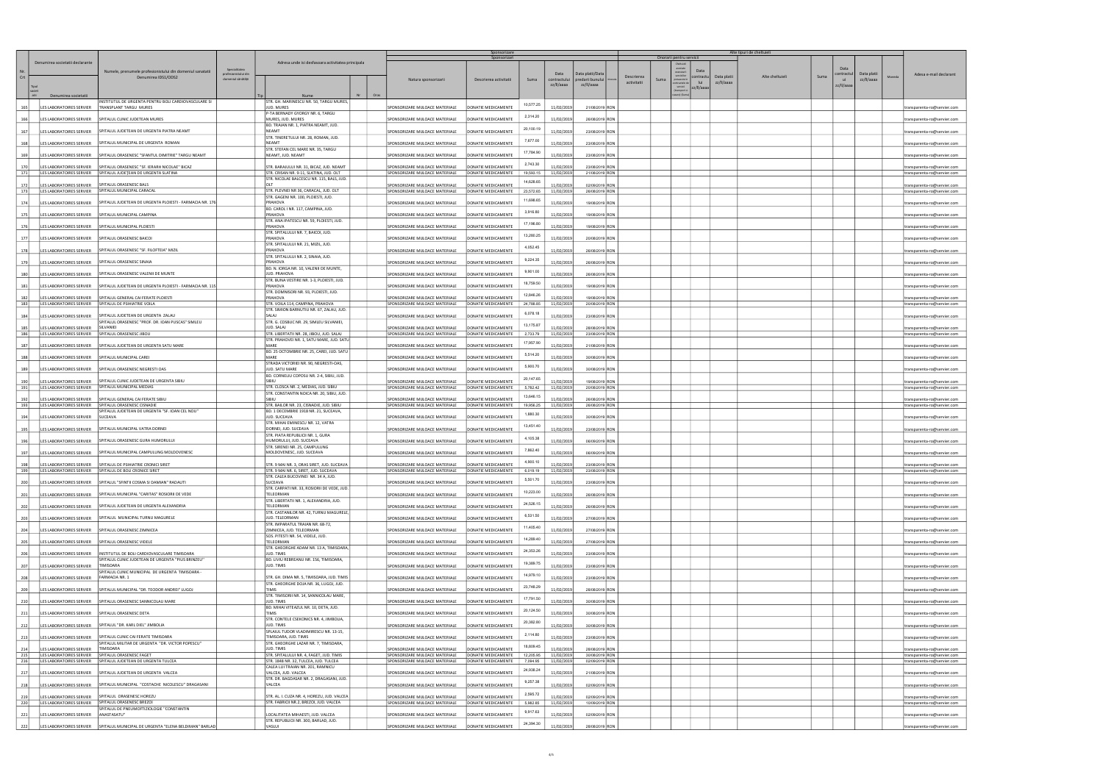|            |                                                      |                                                                                                 |                                                            |                                                                                       |                                                                     | Sponsorizare                               |                        |                                   |                                                  |                                   | Onorarii pentru servicii                                         |                           | Alte tipuri de cheltuieli |                                  |                                     |                                                            |
|------------|------------------------------------------------------|-------------------------------------------------------------------------------------------------|------------------------------------------------------------|---------------------------------------------------------------------------------------|---------------------------------------------------------------------|--------------------------------------------|------------------------|-----------------------------------|--------------------------------------------------|-----------------------------------|------------------------------------------------------------------|---------------------------|---------------------------|----------------------------------|-------------------------------------|------------------------------------------------------------|
| Crt        | Denumirea societatii declarante                      | Numele, prenumele profesionistului din domeniul sanatatii<br>Denumirea IDS1/ODS2                | Specialitatea<br>profesionistului di<br>domeniul sănătății | Adresa unde isi desfasoara activitatea principala                                     | Natura sponsorizarii                                                | Descrierea activitatii                     | Suma                   | Data<br>contractulu<br>zz/II/aaaa | Data platii/Dat<br>predarii bunulu<br>zz/II/aaaa | Descrierea<br>Suma<br>activitatii | Data<br>ontract:<br>prevazute<br>lui<br>ontractele o<br>servicii | Data platii<br>zz/II/aaaa | Alte cheltuieli           | contractul<br>Suma<br>zz/II/aaaa | Data platii<br>Moneda<br>zz/II/aaaa | Adesa e-mail declarant                                     |
|            | Denumirea societatii                                 |                                                                                                 |                                                            | Oras<br><b>Nume</b>                                                                   |                                                                     |                                            |                        |                                   |                                                  |                                   | z/II/aaa<br>rare) (Su                                            |                           |                           |                                  |                                     |                                                            |
| 165        | LES LABORATOIRES SERVIER                             | INSTITUTUL DE URGENTA PENTRU BOLI CARDIOVASCULARE SI<br>TRANSPLANT TARGU MURES                  |                                                            | STR. GH. MARINESCU NR. 50, TARGU MURES,<br>JUD. MURES                                 | SPONSORIZARE MIJLOACE MATERIALE                                     | DONATIE MEDICAMENTE                        | 10,577.25              | 11/02/2019                        | 21/08/2019 RON                                   |                                   |                                                                  |                           |                           |                                  |                                     | transparenta-ro@servier.com                                |
| 166        | LES LABORATOIRES SERVIER                             | SPITALUL CLINIC JUDETEAN MURES                                                                  |                                                            | P-TA BERNADY GYORGY NR. 6, TARGU<br>MURES, JUD. MURES                                 | SPONSORIZARE MIJLOACE MATERIALE                                     | DONATIE MEDICAMENTE                        | 2,314.20               | 11/02/2019                        | 26/08/2019 RON                                   |                                   |                                                                  |                           |                           |                                  |                                     | transparenta-ro@servier.com                                |
| 167        | LES LABORATOIRES SERVIER                             | SPITALUL JUDETEAN DE URGENTA PIATRA NEAMT                                                       |                                                            | BD. TRAIAN NR. 1, PIATRA NEAMT, JUD.<br><b>NEAMT</b>                                  | SPONSORIZARE MIJLOACE MATERIALE                                     | DONATIE MEDICAMENTE                        | 20,100.19              | 11/02/2019                        | 23/08/2019 RON                                   |                                   |                                                                  |                           |                           |                                  |                                     | transparenta-ro@servier.com                                |
| 168        | LES LABORATOIRES SERVIER                             | SPITALUL MUNICIPAL DE URGENTA ROMAN                                                             |                                                            | STR. TINERETULUI NR. 28, ROMAN, JUD.<br><b>NFAMT</b>                                  | SPONSORIZARE MIJLOACE MATERIALE                                     | DONATIE MEDICAMENTE                        | 7,677.00               | 11/02/2019                        | 23/08/2019 RON                                   |                                   |                                                                  |                           |                           |                                  |                                     | transparenta-ro@servier.com                                |
| 169        | LES LABORATOIRES SERVIER                             | SPITALUL ORASENESC "SFANTUL DIMITRIE" TARGU NEAMT                                               |                                                            | STR. STEFAN CEL MARE NR. 35, TARGU<br>NEAMT, JUD. NEAMT                               | SPONSORIZARE MIJLOACE MATERIALE                                     | DONATIE MEDICAMENTE                        | 17,784.90              | 11/02/2019                        | 23/08/2019 RON                                   |                                   |                                                                  |                           |                           |                                  |                                     | transparenta-ro@servier.com                                |
| 170        | <b>ILES LABORATOIRES SERVIER</b>                     | SPITALUL ORASENESC "SF. IERARH NICOLAE" BICAZ                                                   |                                                            | STR. BARAJULUI NR. 31, BICAZ, JUD. NEAMT                                              | SPONSORIZARE MIJLOACE MATERIALE                                     | DONATIE MEDICAMENTE                        | 2,743.30               | 11/02/2019                        | 23/08/2019 RON                                   |                                   |                                                                  |                           |                           |                                  |                                     | transparenta-ro@servier.com                                |
| 171        |                                                      | LES LABORATOIRES SERVIER   SPITALUL JUDEȚEAN DE URGENTA SLATINA                                 |                                                            | STR. CRISAN NR. 9-11, SLATINA, JUD. OLT<br>STR. NICOLAE BALCESCU NR. 115, BALS, JUD.  | SPONSORIZARE MIJLOACE MATERIALE                                     | DONATIE MEDICAMENTE                        | 19,593.15<br>14,628.65 | 11/02/2019                        | 21/08/2019 RON                                   |                                   |                                                                  |                           |                           |                                  |                                     | transparenta-ro@servier.com                                |
| 172<br>173 | LES LABORATOIRES SERVIER                             | SPITALUL ORASENESC BALS<br>LES LABORATOIRES SERVIER SPITALUL MUNICIPAL CARACAL                  |                                                            | OIT<br>STR. PLEVNEI NR 36, CARACAL, JUD. OLT                                          | SPONSORIZARE MIJLOACE MATERIALE<br>SPONSORIZARE MIJLOACE MATERIALE  | DONATIE MEDICAMENTE<br>DONATIE MEDICAMENTE | 23,572.65              | 11/02/2019<br>11/02/2019          | 02/09/2019 RON<br>26/08/2019 RON                 |                                   |                                                                  |                           |                           |                                  |                                     | ransparenta-ro@servier.com<br>transparenta-ro@servier.com  |
| 174        | LES LABORATOIRES SERVIER                             | SPITALUL JUDETEAN DE URGENTA PLOIESTI - FARMACIA NR. 176                                        |                                                            | STR. GAGENI NR. 100, PLOIESTI, JUD.<br>PRAHOVA                                        | SPONSORIZARE MIJLOACE MATERIALE                                     | DONATIE MEDICAMENTE                        | 11,698.65              | 11/02/2019                        | 19/08/2019 RON                                   |                                   |                                                                  |                           |                           |                                  |                                     | transparenta-ro@servier.com                                |
| 175        | LES LABORATOIRES SERVIER                             | SPITALUL MUNICIPAL CAMPINA                                                                      |                                                            | BD. CAROL I NR. 117, CAMPINA, JUD.<br>PRAHOVA                                         | SPONSORIZARE MIJLOACE MATERIALE                                     | DONATIE MEDICAMENTE                        | 3,916.80               | 11/02/2019                        | 19/08/2019 RON                                   |                                   |                                                                  |                           |                           |                                  |                                     | transparenta-ro@servier.com                                |
| 176        | LES LABORATOIRES SERVIER                             | SPITALUL MUNICIPAL PLOIESTI                                                                     |                                                            | STR. ANA IPATESCU NR. 59, PLOIESTI, JUD.<br>PRAHOVA                                   | SPONSORIZARE MIJLOACE MATERIALE                                     | DONATIE MEDICAMENTE                        | 17,196.80              | 11/02/2019                        | 19/08/2019 RON                                   |                                   |                                                                  |                           |                           |                                  |                                     | transparenta-ro@servier.com                                |
| 177        | LES LABORATOIRES SERVIER                             | SPITALUL ORASENESC BAICOI                                                                       |                                                            | STR. SPITALULUI NR. 7, BAICOI, JUD.<br>PRAHOVA                                        | SPONSORIZARE MIJLOACE MATERIALE                                     | DONATIE MEDICAMENTE                        | 13,280.25              | 11/02/2019                        | 20/08/2019 RON                                   |                                   |                                                                  |                           |                           |                                  |                                     | transparenta-ro@servier.com                                |
| 178        |                                                      | LES LABORATOIRES SERVIER   SPITALUL ORASENESC "SF. FILOFTEIA" MIZIL                             |                                                            | STR. SPITALULUI NR. 21, MIZIL, JUD.<br>PRAHOVA                                        | SPONSORIZARE MIJLOACE MATERIALE                                     | DONATIE MEDICAMENTE                        | 4,052.45               | 11/02/2019                        | 26/08/2019 RON                                   |                                   |                                                                  |                           |                           |                                  |                                     | transparenta-ro@servier.com                                |
| 179        | LES LABORATOIRES SERVIER                             | SPITALUL ORASENESC SINAIA                                                                       |                                                            | STR. SPITALULUI NR. 2, SINAIA, JUD.<br>PRAHOVA                                        | SPONSORIZARE MIJLOACE MATERIALE                                     | DONATIE MEDICAMENTE                        | 9,224.35               | 11/02/2019                        | 26/08/2019 RON                                   |                                   |                                                                  |                           |                           |                                  |                                     | transparenta-ro@servier.com                                |
| 180        | LES LABORATOIRES SERVIER                             | SPITALUL ORASENESC VALENII DE MUNTE                                                             |                                                            | BD. N. IORGA NR. 10, VALENII DE MUNTE,<br>JUD. PRAHOVA                                | SPONSORIZARE MIJLOACE MATERIALE                                     | DONATIE MEDICAMENTE                        | 9,901.00               | 11/02/2019                        | 26/08/2019 RON                                   |                                   |                                                                  |                           |                           |                                  |                                     | transparenta-ro@servier.com                                |
| 181        | LES LABORATOIRES SERVIER                             | SPITALUL JUDETEAN DE URGENTA PLOIESTI - FARMACIA NR. 115                                        |                                                            | STR. BUNA VESTIRE NR. 1-3, PLOIESTI, JUD.<br>PRAHOVA                                  | SPONSORIZARE MIJLOACE MATERIALE                                     | DONATIE MEDICAMENTE                        | 18,759.50              | 11/02/2019                        | 19/08/2019 RON                                   |                                   |                                                                  |                           |                           |                                  |                                     | transparenta-ro@servier.com                                |
| 182        | LES LABORATOIRES SERVIER                             | SPITALUL GENERAL CAI FERATE PLOIESTI                                                            |                                                            | STR. DOMNISORI NR. 93, PLOIESTI, JUD.<br>PRAHOVA                                      | SPONSORIZARE MIJLOACE MATERIALE                                     | DONATIE MEDICAMENTE                        | 12,846.26              | 11/02/2019                        | 19/08/2019 RON                                   |                                   |                                                                  |                           |                           |                                  |                                     | transparenta-ro@servier.com                                |
| 183        |                                                      | LES LABORATOIRES SERVIER SPITALUL DE PSIHIATRIE VOILA                                           |                                                            | STR. VOILA 114, CAMPINA, PRAHOVA<br>STR. SIMION BARNUTIU NR. 67, ZALAU, JUD.          | SPONSORIZARE MIJLOACE MATERIALE                                     | DONATIE MEDICAMENTE                        | 24,788.85              | 11/02/2019                        | 20/08/2019 RON                                   |                                   |                                                                  |                           |                           |                                  |                                     | transparenta-ro@servier.com                                |
| 184        | LES LABORATOIRES SERVIER                             | SPITALUL JUDETEAN DE URGENTA ZALAU<br>SPITALUL ORASENESC "PROF. DR. IOAN PUSCAS" SIMLEU         |                                                            | <b>SAI 41</b><br>STR. G. COSBUC NR. 29, SIMLEU SILVANIEI,                             | SPONSORIZARE MIJLOACE MATERIALE                                     | DONATIE MEDICAMENTE                        | 6,078.18               | 11/02/2019                        | 23/08/2019 RON                                   |                                   |                                                                  |                           |                           |                                  |                                     | transparenta-ro@servier.com                                |
| 185<br>186 | LES LABORATOIRES SERVIER                             | <b>SILVANIE</b><br>LES LABORATOIRES SERVIER SPITALUL ORASENESC JIBOU                            |                                                            | JUD, SALAJ<br>STR. LIBERTATII NR. 28, JIBOU, JUD. SALAJ                               | SPONSORIZARE MIJLOACE MATERIALE<br>SPONSORIZARE MIJLOACE MATERIALE  | DONATIF MEDICAMENTE<br>DONATIE MEDICAMENTE | 13,175.87<br>2,733.79  | 11/02/2019<br>11/02/2019          | 28/08/2019 RON<br>23/08/2019 RON                 |                                   |                                                                  |                           |                           |                                  |                                     | transparenta-ro@servier.com<br>transparenta-ro@servier.com |
| 187        | LES LABORATOIRES SERVIER                             | SPITALUL JUDETEAN DE URGENTA SATU MARE                                                          |                                                            | STR. PRAHOVEI NR. 1, SATU MARE, JUD. SATU<br>MARF                                     | SPONSORIZARE MIJLOACE MATERIALE                                     | DONATIE MEDICAMENTE                        | 17,957.90              | 11/02/2019                        | 21/08/2019 RON                                   |                                   |                                                                  |                           |                           |                                  |                                     |                                                            |
| 188        | LES LABORATOIRES SERVIER                             | SPITALUL MUNICIPAL CAREI                                                                        |                                                            | BD. 25 OCTOMBRIE NR. 25, CAREI, JUD. SATU<br>MARF                                     | SPONSORIZARE MIJLOACE MATERIALE                                     | DONATIE MEDICAMENTE                        | 5,514.20               | 11/02/2019                        | 30/08/2019 RON                                   |                                   |                                                                  |                           |                           |                                  |                                     | transparenta-ro@servier.com<br>transparenta-ro@servier.com |
| 189        | LES LABORATOIRES SERVIER                             | SPITALUL ORASENESC NEGRESTI OAS                                                                 |                                                            | STRADA VICTORIEI NR. 90, NEGRESTI-OAS,<br>JUD. SATU MARE                              | SPONSORIZARE MIJLOACE MATERIALE                                     | DONATIE MEDICAMENTE                        | 5,900.70               | 11/02/2019                        | 30/08/2019 RON                                   |                                   |                                                                  |                           |                           |                                  |                                     |                                                            |
| 190        | LES LABORATOIRES SERVIER                             | SPITALUL CLINIC JUDETEAN DE URGENTA SIBIU                                                       |                                                            | BD. CORNELIU COPOSU NR. 2-4, SIBIU, JUD.                                              | SPONSORIZARE MIJLOACE MATERIALE                                     | DONATIE MEDICAMENTE                        | 20,147.65              | 11/02/2019                        | 19/08/2019 RON                                   |                                   |                                                                  |                           |                           |                                  |                                     | transparenta-ro@servier.com<br>transparenta-ro@servier.com |
| 191        |                                                      | LES LABORATOIRES SERVIER SPITALUL MUNICIPAL MEDIAS                                              |                                                            | STR. CLOSCA NR. 2, MEDIAS, JUD. SIBIU                                                 | SPONSORIZARE MIJLOACE MATERIALE                                     | DONATIE MEDICAMENTE                        | 5,782.42               | 11/02/2019                        | 20/08/2019 RON                                   |                                   |                                                                  |                           |                           |                                  |                                     | transparenta-ro@servier.com                                |
| 192        | LES LABORATOIRES SERVIER<br>LES LABORATOIRES SERVIER | SPITALUL GENERAL CAI FERATE SIBIU<br>SPITALUL ORASENESC CISNADIE                                |                                                            | STR. CONSTANTIN NOICA NR. 20, SIBIU, JUD.<br>STR. BAILOR NR. 23, CISNADIE, JUD. SIBIU | SPONSORIZARE MIJLOACE MATERIALE<br>SPONSORIZARE MIJLOACE MATERIALE  | DONATIE MEDICAMENTE<br>DONATIE MEDICAMENTE | 13,646.15              | 11/02/2019                        | 26/08/2019 RON                                   |                                   |                                                                  |                           |                           |                                  |                                     | transparenta-ro@servier.com                                |
| 193        |                                                      | SPITALUL JUDETEAN DE URGENTA "SF. IOAN CEL NOU"                                                 |                                                            | BD. 1 DECEMBRIE 1918 NR. 21, SUCEAVA,                                                 |                                                                     |                                            | 19,956.25<br>1,880.30  | 11/02/2019                        | 26/08/2019 RON                                   |                                   |                                                                  |                           |                           |                                  |                                     | transparenta-ro@servier.com                                |
| 194        | LES LABORATOIRES SERVIER<br>LES LABORATOIRES SERVIER | SUCEAVA<br>SPITALUL MUNICIPAL VATRA DORNEI                                                      |                                                            | JUD. SUCEAVA<br>STR. MIHAI EMINESCU NR. 12, VATRA<br>DORNEI, JUD. SUCEAVA             | SPONSORIZARE MIJLOACE MATERIALE                                     | DONATIE MEDICAMENTE                        | 13,451.40              | 11/02/2019                        | 30/08/2019 RON                                   |                                   |                                                                  |                           |                           |                                  |                                     | transparenta-ro@servier.com                                |
| 195        |                                                      | SPITALUL ORASENESC GURA HUMORULUI                                                               |                                                            | STR. PIATA REPUBLICII NR. 1, GURA                                                     | SPONSORIZARE MIJLOACE MATERIALE                                     | DONATIE MEDICAMENTE                        | 4,105.38               | 11/02/2019                        | 23/08/2019 RON                                   |                                   |                                                                  |                           |                           |                                  |                                     | ransparenta-ro@servier.com                                 |
| 196        | LES LABORATOIRES SERVIER                             |                                                                                                 |                                                            | HUMORULUI, JUD. SUCEAVA<br>STR. SIRENEI NR. 25, CAMPULUNG                             | SPONSORIZARE MIJLOACE MATERIALE                                     | DONATIE MEDICAMENTE                        | 7,862.40               | 11/02/2019                        | 06/09/2019 RON                                   |                                   |                                                                  |                           |                           |                                  |                                     | transparenta-ro@servier.com                                |
| 197        |                                                      | LES LABORATOIRES SERVIER SPITALUL MUNICIPAL CAMPULUNG MOLDOVENESC                               |                                                            | MOLDOVENESC, JUD. SUCEAVA                                                             | SPONSORIZARE MIJLOACE MATERIALE                                     | DONATIE MEDICAMENTE                        | 4,900.10               | 11/02/2019                        | 06/09/2019 RON                                   |                                   |                                                                  |                           |                           |                                  |                                     | transparenta-ro@servier.com                                |
| 198<br>199 | LES LABORATOIRES SERVIER                             | LES LABORATOIRES SERVIER SPITALUL DE PSIHIATRIE CRONICI SIRET<br>SPITALUL DE BOLI CRONICE SIRET |                                                            | STR. 9 MAI NR. 3, ORAS SIRET, JUD. SUCEAVA<br>STR. 9 MAI NR. 6, SIRET, JUD. SUCEAVA   | SPONSORIZARE MIII OACE MATERIALE<br>SPONSORIZARE MIJLOACE MATERIALE | DONATIF MEDICAMENTE<br>DONATIE MEDICAMENTE | 6,019.19               | 11/02/2019<br>11/02/2019          | 23/08/2019 RON<br>23/08/2019 RON                 |                                   |                                                                  |                           |                           |                                  |                                     | transparenta-ro@servier.com                                |
| 200        | LES LABORATOIRES SERVIER                             | SPITALUL "SFINTII COSMA SI DAMIAN" RADAUTI                                                      |                                                            | STR. CALEA BUCOVINEI NR. 34 A, JUD.<br>SUCEAVA                                        | SPONSORIZARE MIJLOACE MATERIALE                                     | DONATIE MEDICAMENTE                        | 5,501.70               | 11/02/2019                        | 23/08/2019 RON                                   |                                   |                                                                  |                           |                           |                                  |                                     | transparenta-ro@servier.com                                |
| 201        | LES LABORATOIRES SERVIER                             | SPITALUL MUNICIPAL "CARITAS" ROSIORII DE VEDE                                                   |                                                            | STR. CARPATI NR. 33, ROSIORII DE VEDE, JUD.<br>TELEORMAN                              | SPONSORIZARE MIJLOACE MATERIALE                                     | DONATIE MEDICAMENTE                        | 10,223.00              | 11/02/2019                        | 26/08/2019 RON                                   |                                   |                                                                  |                           |                           |                                  |                                     | transparenta-ro@servier.com                                |
| 202        | LES LABORATOIRES SERVIER                             | SPITALUL JUDETEAN DE URGENTA ALEXANDRIA                                                         |                                                            | STR. LIBERTATII NR. 1, ALEXANDRIA, JUD.<br>TELEORMAN                                  | SPONSORIZARE MIJLOACE MATERIALE                                     | DONATIE MEDICAMENTE                        | 24,526.15              | 11/02/2019                        | 26/08/2019 RON                                   |                                   |                                                                  |                           |                           |                                  |                                     | transparenta-ro@servier.com                                |
| 203        | LES LABORATOIRES SERVIER                             | SPITALUL MUNICIPAL TURNU MAGURELE                                                               |                                                            | STR. CASTANILOR NR. 42, TURNU MAGURELE,<br>JUD. TELEORMAN                             | SPONSORIZARE MIJLOACE MATERIALE                                     | <b>DONATIE MEDICAMENTE</b>                 | 6,531.50               | 11/02/2019                        | 27/08/2019 RON                                   |                                   |                                                                  |                           |                           |                                  |                                     | transparenta-ro@servier.com                                |
| 204        | LES LABORATOIRES SERVIER                             | SPITALUL ORASENESC ZIMNICEA                                                                     |                                                            | STR. IMPARATUL TRAIAN NR. 68-72,<br>ZIMNICEA, JUD. TELEORMAN                          | SPONSORIZARE MIJLOACE MATERIALE                                     | DONATIE MEDICAMENTE                        | 11,405.40              | 11/02/2019                        | 27/08/2019 RON                                   |                                   |                                                                  |                           |                           |                                  |                                     | transparenta-ro@servier.com                                |
| 205        | LES LABORATOIRES SERVIER                             | SPITALUL ORASENESC VIDELE                                                                       |                                                            | SOS. PITESTI NR. 54, VIDELE, JUD.<br>TFI FORMAN                                       | SPONSORIZARE MIJLOACE MATERIALE                                     | DONATIE MEDICAMENTE                        | 14,289.40              | 11/02/2019                        | 27/08/2019 RON                                   |                                   |                                                                  |                           |                           |                                  |                                     | transparenta-ro@servier.com                                |
| 206        | LES LABORATOIRES SERVIER                             | INSTITUTUL DE BOLI CARDIOVASCULARE TIMISOARA                                                    |                                                            | STR. GHEORGHE ADAM NR. 13 A, TIMISOARA,<br>JUD. TIMIS                                 | SPONSORIZARE MIJLOACE MATERIALE                                     | DONATIE MEDICAMENTE                        | 24,353.26              | 11/02/2019                        | 23/08/2019 RON                                   |                                   |                                                                  |                           |                           |                                  |                                     | ransparenta-ro@servier.com                                 |
| 207        | LES LABORATOIRES SERVIER                             | SPITALUL CLINIC JUDETEAN DE URGENTA "PIUS BRINZEU"<br><b>TIMISOARA</b>                          |                                                            | BD. LIVIU REBREANU NR. 156, TIMISOARA,<br>JUD. TIMIS                                  | SPONSORIZARE MIJLOACE MATERIALE                                     | DONATIE MEDICAMENTE                        | 19,389.75              | 11/02/2019                        | 23/08/2019 RON                                   |                                   |                                                                  |                           |                           |                                  |                                     | transparenta-ro@servier.com                                |
| 208        | LES LABORATOIRES SERVIER                             | SPITALUL CLINIC MUNICIPAL DE URGENTA TIMISOARA -<br><b>FARMACIA NR. 1</b>                       |                                                            | STR. GH. DIMA NR. 5, TIMISOARA, JUD. TIMIS                                            | SPONSORIZARE MIJLOACE MATERIALE                                     | DONATIE MEDICAMENTE                        | 14,979.10              | 11/02/2019                        | 23/08/2019 RON                                   |                                   |                                                                  |                           |                           |                                  |                                     | transparenta-ro@servier.com                                |
| 209        | LES LABORATOIRES SERVIER                             | SPITALUL MUNICIPAL "DR. TEODOR ANDREI" LUGOJ                                                    |                                                            | STR. GHEORGHE DOJA NR. 36, LUGOJ, JUD.<br><b>TIMIS</b>                                | SPONSORIZARE MIJLOACE MATERIALE                                     | DONATIE MEDICAMENTE                        | 23,748.29              | 11/02/2019                        | 28/08/2019 RON                                   |                                   |                                                                  |                           |                           |                                  |                                     | transparenta-ro@servier.com                                |
| 210        | LES LABORATOIRES SERVIER                             | SPITALUL ORASENESC SANNICOLAU MARE                                                              |                                                            | STR. TIMISORII NR. 14, SANNICOLAU MARE,<br><b>IUD. TIMIS</b>                          | SPONSORIZARE MIJLOACE MATERIALE                                     | DONATIE MEDICAMENTE                        | 17,791.50              | 11/02/2019                        | 30/08/2019 ROM                                   |                                   |                                                                  |                           |                           |                                  |                                     | ransparenta-ro@servier.com                                 |
| 211        | LES LABORATOIRES SERVIER                             | SPITALUL ORASENESC DETA                                                                         |                                                            | BD. MIHAI VITEAZUL NR. 10, DETA, JUD.<br><b>TIMIS</b>                                 | SPONSORIZARE MIJLOACE MATERIALE                                     | DONATIE MEDICAMENTE                        | 20,124.50              | 11/02/2019                        | 30/08/2019 RON                                   |                                   |                                                                  |                           |                           |                                  |                                     | transparenta-ro@servier.com                                |
| 212        | LES LABORATOIRES SERVIER                             | SPITALUL "DR. KARL DIEL" JIMBOLIA                                                               |                                                            | STR. CONTELE CSEKONICS NR. 4, JIMBOLIA,<br>JUD. TIMIS                                 | SPONSORIZARE MIJLOACE MATERIALE                                     | DONATIE MEDICAMENTE                        | 20,382.80              | 11/02/2019                        | 30/08/2019 RON                                   |                                   |                                                                  |                           |                           |                                  |                                     | transparenta-ro@servier.com                                |
| 213        | LES LABORATOIRES SERVIER                             | SPITALUL CLINIC CAI FERATE TIMISOARA                                                            |                                                            | SPLAIUL TUDOR VLADIMIRESCU NR. 13-15,<br>TIMISOARA, JUD. TIMIS                        | SPONSORIZARE MIJLOACE MATERIALE                                     | DONATIE MEDICAMENTE                        | 2,114.80               | 11/02/2019                        | 23/08/2019 RON                                   |                                   |                                                                  |                           |                           |                                  |                                     | transparenta-ro@servier.com                                |
| 214        | LES LABORATOIRES SERVIER                             | SPITALUL MILITAR DE URGENTA "DR. VICTOR POPESCU"<br><b>TIMISOARA</b>                            |                                                            | STR. GHEORGHE LAZAR NR. 7, TIMISOARA,<br>JUD. TIMIS                                   | SPONSORIZARE MIJLOACE MATERIALE                                     | DONATIE MEDICAMENTE                        | 18,809.45              | 11/02/2019                        | 28/08/2019 RON                                   |                                   |                                                                  |                           |                           |                                  |                                     | transparenta-ro@servier.com                                |
| 215<br>216 | LES LABORATOIRES SERVIER<br>LES LABORATOIRES SERVIER | SPITALUL ORASENESC FAGET<br>SPITALUL JUDETEAN DE URGENTA TULCEA                                 |                                                            | STR. SPITALULUI NR. 4, FAGET, JUD. TIMIS<br>STR. 1848 NR. 32, TULCEA, JUD. TULCEA     | SPONSORIZARE MIJLOACE MATERIALE<br>SPONSORIZARE MIJLOACE MATERIALE  | DONATIE MEDICAMENTE<br>DONATIF MEDICAMENTE | 12,205.95<br>7,094.95  | 11/02/2019<br>11/02/2019          | 30/08/2019 RON<br>02/09/2019 RON                 |                                   |                                                                  |                           |                           |                                  |                                     | transparenta-ro@servier.com<br>transparenta-ro@servier.com |
| 217        | LES LABORATOIRES SERVIER                             | SPITALUL JUDETEAN DE URGENTA VALCEA                                                             |                                                            | CALEA LUI TRAIAN NR. 201, RAMNICU<br>VALCEA, JUD. VALCEA                              | SPONSORIZARE MIJLOACE MATERIALE                                     | DONATIE MEDICAMENTE                        | 24,938.24              | 11/02/2019                        | 21/08/2019 RON                                   |                                   |                                                                  |                           |                           |                                  |                                     | transparenta-ro@servier.com                                |
| 218        | LES LABORATOIRES SERVIER                             | SPITALUL MUNICIPAL "COSTACHE NICOLESCU" DRAGASANI                                               |                                                            | STR. DR. BAGDASAR NR. 2, DRAGASANI, JUD.<br>VALCEA                                    | SPONSORIZARE MIJLOACE MATERIALE                                     | DONATIF MEDICAMENTE                        | 9,257.38               | 11/02/2019                        | 02/09/2019 RON                                   |                                   |                                                                  |                           |                           |                                  |                                     | ransparenta-ro@servier.com                                 |
| 219        | LES LABORATOIRES SERVIER                             | SPITALUL ORASENESC HOREZU                                                                       |                                                            | STR. AL. I. CUZA NR. 4, HOREZU, JUD. VALCEA                                           | SPONSORIZARE MIJLOACE MATERIALE                                     | ONATIE MEDICAMENTE                         | 2,595.72               | 11/02/2019                        | 02/09/2019 RON                                   |                                   |                                                                  |                           |                           |                                  |                                     | transparenta-ro@servier.com                                |
| 220        |                                                      | LES LABORATOIRES SERVIER SPITALUL ORASENESC BREZOI<br>SPITALUL DE PNEUMOFTIZIOLOGIE "CONSTANTIN |                                                            | STR. FABRICII NR.2, BREZOI, JUD. VALCEA                                               | SPONSORIZARE MIJLOACE MATERIALE                                     | DONATIE MEDICAMENTE                        | 5,982.85               | 11/02/2019                        | 10/09/2019 RON                                   |                                   |                                                                  |                           |                           |                                  |                                     | transparenta-ro@servier.com                                |
| 221        | LES LABORATOIRES SERVIER                             | ANASTASATU"                                                                                     |                                                            | LOCALITATEA MIHAESTI, JUD. VALCEA<br>STR. REPUBLICII NR. 300, BARLAD, JUD.            | SPONSORIZARE MIJLOACE MATERIALE                                     | DONATIE MEDICAMENTE                        | 9,917.63               | 11/02/2019                        | 02/09/2019 RON                                   |                                   |                                                                  |                           |                           |                                  |                                     | transparenta-ro@servier.com                                |
| 222        |                                                      | LES LABORATOIRES SERVIER SPITALUL MUNICIPAL DE URGENTA "ELENA BELDIMAN" BARLAD                  |                                                            | VASLUI                                                                                | SPONSORIZARE MIJLOACE MATERIALE                                     | DONATIE MEDICAMENTE                        | 24,394.30              | 11/02/2019                        | 28/08/2019 RON                                   |                                   |                                                                  |                           |                           |                                  |                                     | transparenta-ro@servier.com                                |